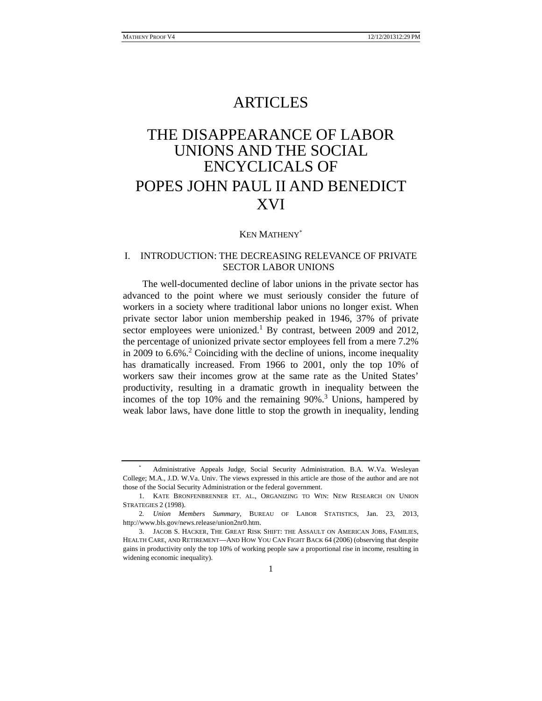# ARTICLES

# THE DISAPPEARANCE OF LABOR UNIONS AND THE SOCIAL ENCYCLICALS OF POPES JOHN PAUL II AND BENEDICT XVI

# KEN MATHENY\*

# I. INTRODUCTION: THE DECREASING RELEVANCE OF PRIVATE SECTOR LABOR UNIONS

The well-documented decline of labor unions in the private sector has advanced to the point where we must seriously consider the future of workers in a society where traditional labor unions no longer exist. When private sector labor union membership peaked in 1946, 37% of private sector employees were unionized.<sup>1</sup> By contrast, between 2009 and 2012, the percentage of unionized private sector employees fell from a mere 7.2% in 2009 to 6.6%<sup>2</sup> Coinciding with the decline of unions, income inequality has dramatically increased. From 1966 to 2001, only the top 10% of workers saw their incomes grow at the same rate as the United States' productivity, resulting in a dramatic growth in inequality between the incomes of the top 10% and the remaining 90%.<sup>3</sup> Unions, hampered by weak labor laws, have done little to stop the growth in inequality, lending

<sup>\*</sup> Administrative Appeals Judge, Social Security Administration. B.A. W.Va. Wesleyan College; M.A., J.D. W.Va. Univ. The views expressed in this article are those of the author and are not those of the Social Security Administration or the federal government.

 <sup>1.</sup> KATE BRONFENBRENNER ET. AL., ORGANIZING TO WIN: NEW RESEARCH ON UNION STRATEGIES 2 (1998).

<sup>2</sup>*. Union Members Summary*, BUREAU OF LABOR STATISTICS, Jan. 23, 2013, http://www.bls.gov/news.release/union2nr0.htm.

 <sup>3.</sup> JACOB S. HACKER, THE GREAT RISK SHIFT: THE ASSAULT ON AMERICAN JOBS, FAMILIES, HEALTH CARE, AND RETIREMENT—AND HOW YOU CAN FIGHT BACK 64 (2006) (observing that despite gains in productivity only the top 10% of working people saw a proportional rise in income, resulting in widening economic inequality).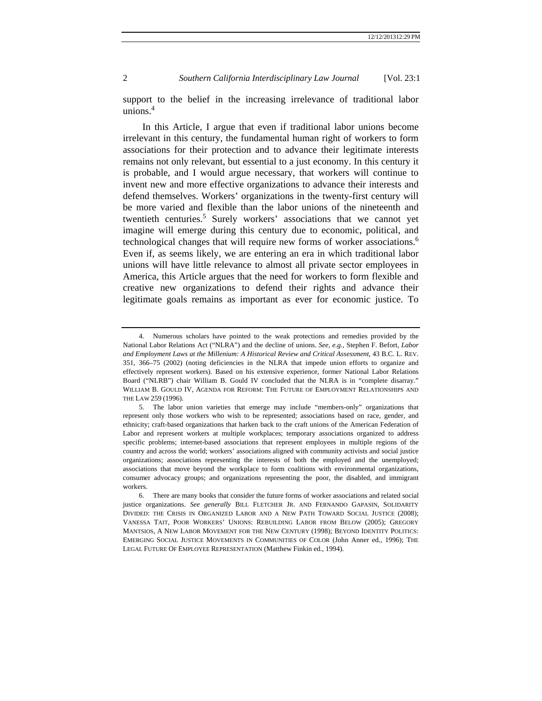support to the belief in the increasing irrelevance of traditional labor unions.4

In this Article, I argue that even if traditional labor unions become irrelevant in this century, the fundamental human right of workers to form associations for their protection and to advance their legitimate interests remains not only relevant, but essential to a just economy. In this century it is probable, and I would argue necessary, that workers will continue to invent new and more effective organizations to advance their interests and defend themselves. Workers' organizations in the twenty-first century will be more varied and flexible than the labor unions of the nineteenth and twentieth centuries.<sup>5</sup> Surely workers' associations that we cannot yet imagine will emerge during this century due to economic, political, and technological changes that will require new forms of worker associations.6 Even if, as seems likely, we are entering an era in which traditional labor unions will have little relevance to almost all private sector employees in America, this Article argues that the need for workers to form flexible and creative new organizations to defend their rights and advance their legitimate goals remains as important as ever for economic justice. To

 <sup>4.</sup> Numerous scholars have pointed to the weak protections and remedies provided by the National Labor Relations Act ("NLRA") and the decline of unions. *See, e.g.,* Stephen F. Befort, *Labor and Employment Laws at the Millenium: A Historical Review and Critical Assessment*, 43 B.C. L. REV. 351, 366–75 (2002) (noting deficiencies in the NLRA that impede union efforts to organize and effectively represent workers). Based on his extensive experience, former National Labor Relations Board ("NLRB") chair William B. Gould IV concluded that the NLRA is in "complete disarray." WILLIAM B. GOULD IV, AGENDA FOR REFORM: THE FUTURE OF EMPLOYMENT RELATIONSHIPS AND THE LAW 259 (1996).

 <sup>5.</sup> The labor union varieties that emerge may include "members-only" organizations that represent only those workers who wish to be represented; associations based on race, gender, and ethnicity; craft-based organizations that harken back to the craft unions of the American Federation of Labor and represent workers at multiple workplaces; temporary associations organized to address specific problems; internet-based associations that represent employees in multiple regions of the country and across the world; workers' associations aligned with community activists and social justice organizations; associations representing the interests of both the employed and the unemployed; associations that move beyond the workplace to form coalitions with environmental organizations, consumer advocacy groups; and organizations representing the poor, the disabled, and immigrant workers.

 <sup>6.</sup> There are many books that consider the future forms of worker associations and related social justice organizations. *See generally* BILL FLETCHER JR. AND FERNANDO GAPASIN, SOLIDARITY DIVIDED: THE CRISIS IN ORGANIZED LABOR AND A NEW PATH TOWARD SOCIAL JUSTICE (2008); VANESSA TAIT, POOR WORKERS' UNIONS: REBUILDING LABOR FROM BELOW (2005); GREGORY MANTSIOS, A NEW LABOR MOVEMENT FOR THE NEW CENTURY (1998); BEYOND IDENTITY POLITICS: EMERGING SOCIAL JUSTICE MOVEMENTS IN COMMUNITIES OF COLOR (John Anner ed., 1996); THE LEGAL FUTURE OF EMPLOYEE REPRESENTATION (Matthew Finkin ed., 1994).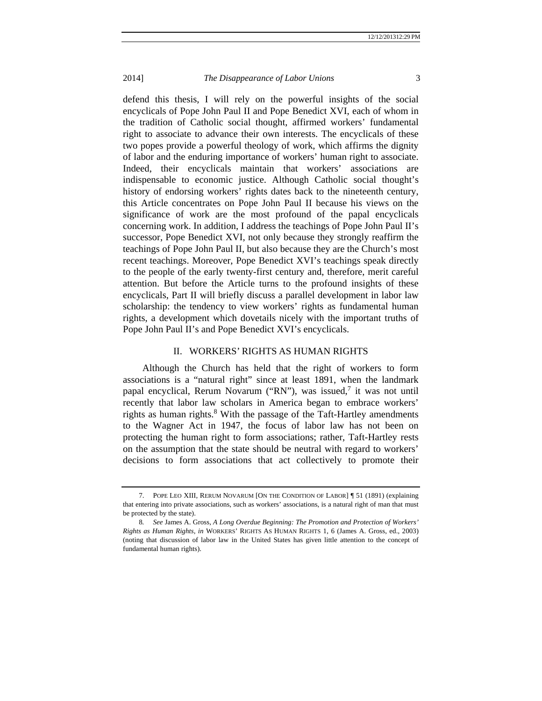defend this thesis, I will rely on the powerful insights of the social encyclicals of Pope John Paul II and Pope Benedict XVI, each of whom in the tradition of Catholic social thought, affirmed workers' fundamental right to associate to advance their own interests. The encyclicals of these two popes provide a powerful theology of work, which affirms the dignity of labor and the enduring importance of workers' human right to associate. Indeed, their encyclicals maintain that workers' associations are indispensable to economic justice. Although Catholic social thought's history of endorsing workers' rights dates back to the nineteenth century, this Article concentrates on Pope John Paul II because his views on the significance of work are the most profound of the papal encyclicals concerning work. In addition, I address the teachings of Pope John Paul II's successor, Pope Benedict XVI, not only because they strongly reaffirm the teachings of Pope John Paul II, but also because they are the Church's most recent teachings. Moreover, Pope Benedict XVI's teachings speak directly to the people of the early twenty-first century and, therefore, merit careful attention. But before the Article turns to the profound insights of these encyclicals, Part II will briefly discuss a parallel development in labor law scholarship: the tendency to view workers' rights as fundamental human rights, a development which dovetails nicely with the important truths of Pope John Paul II's and Pope Benedict XVI's encyclicals.

# II. WORKERS' RIGHTS AS HUMAN RIGHTS

Although the Church has held that the right of workers to form associations is a "natural right" since at least 1891, when the landmark papal encyclical, Rerum Novarum ("RN"), was issued,<sup>7</sup> it was not until recently that labor law scholars in America began to embrace workers' rights as human rights.<sup>8</sup> With the passage of the Taft-Hartley amendments to the Wagner Act in 1947, the focus of labor law has not been on protecting the human right to form associations; rather, Taft-Hartley rests on the assumption that the state should be neutral with regard to workers' decisions to form associations that act collectively to promote their

 <sup>7.</sup> POPE LEO XIII, RERUM NOVARUM [ON THE CONDITION OF LABOR] ¶ 51 (1891) (explaining that entering into private associations, such as workers' associations, is a natural right of man that must be protected by the state).

<sup>8</sup>*. See* James A. Gross, *A Long Overdue Beginning: The Promotion and Protection of Workers' Rights as Human Rights*, *in* WORKERS' RIGHTS AS HUMAN RIGHTS 1, 6 (James A. Gross, ed., 2003) (noting that discussion of labor law in the United States has given little attention to the concept of fundamental human rights).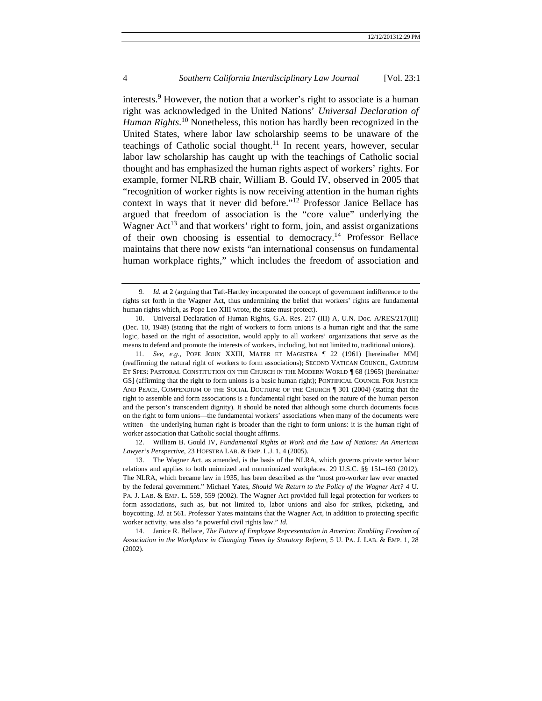interests.<sup>9</sup> However, the notion that a worker's right to associate is a human right was acknowledged in the United Nations' *Universal Declaration of Human Rights*. 10 Nonetheless, this notion has hardly been recognized in the United States, where labor law scholarship seems to be unaware of the teachings of Catholic social thought.<sup>11</sup> In recent years, however, secular labor law scholarship has caught up with the teachings of Catholic social thought and has emphasized the human rights aspect of workers' rights. For example, former NLRB chair, William B. Gould IV, observed in 2005 that "recognition of worker rights is now receiving attention in the human rights context in ways that it never did before."12 Professor Janice Bellace has argued that freedom of association is the "core value" underlying the Wagner  $Act^{13}$  and that workers' right to form, join, and assist organizations of their own choosing is essential to democracy.<sup>14</sup> Professor Bellace maintains that there now exists "an international consensus on fundamental human workplace rights," which includes the freedom of association and

 12. William B. Gould IV*, Fundamental Rights at Work and the Law of Nations: An American Lawyer's Perspective*, 23 HOFSTRA LAB. & EMP. L.J. 1, 4 (2005).

<sup>9</sup>*. Id.* at 2 (arguing that Taft-Hartley incorporated the concept of government indifference to the rights set forth in the Wagner Act, thus undermining the belief that workers' rights are fundamental human rights which, as Pope Leo XIII wrote, the state must protect).

 <sup>10.</sup> Universal Declaration of Human Rights, G.A. Res. 217 (III) A, U.N. Doc. A/RES/217(III) (Dec. 10, 1948) (stating that the right of workers to form unions is a human right and that the same logic, based on the right of association, would apply to all workers' organizations that serve as the means to defend and promote the interests of workers, including, but not limited to, traditional unions).

<sup>11</sup>*. See, e.g.,* POPE JOHN XXIII, MATER ET MAGISTRA ¶ 22 (1961) [hereinafter MM] (reaffirming the natural right of workers to form associations); SECOND VATICAN COUNCIL, GAUDIUM ET SPES: PASTORAL CONSTITUTION ON THE CHURCH IN THE MODERN WORLD **[68 (1965)** [hereinafter] GS] (affirming that the right to form unions is a basic human right); PONTIFICAL COUNCIL FOR JUSTICE AND PEACE, COMPENDIUM OF THE SOCIAL DOCTRINE OF THE CHURCH ¶ 301 (2004) (stating that the right to assemble and form associations is a fundamental right based on the nature of the human person and the person's transcendent dignity). It should be noted that although some church documents focus on the right to form unions—the fundamental workers' associations when many of the documents were written—the underlying human right is broader than the right to form unions: it is the human right of worker association that Catholic social thought affirms.

 <sup>13.</sup> The Wagner Act, as amended, is the basis of the NLRA, which governs private sector labor relations and applies to both unionized and nonunionized workplaces. 29 U.S.C. §§ 151–169 (2012). The NLRA, which became law in 1935, has been described as the "most pro-worker law ever enacted by the federal government." Michael Yates, *Should We Return to the Policy of the Wagner Act?* 4 U. PA. J. LAB. & EMP. L. 559, 559 (2002). The Wagner Act provided full legal protection for workers to form associations, such as, but not limited to, labor unions and also for strikes, picketing, and boycotting. *Id*. at 561. Professor Yates maintains that the Wagner Act, in addition to protecting specific worker activity, was also "a powerful civil rights law." *Id*.

 <sup>14.</sup> Janice R. Bellace*, The Future of Employee Representation in America: Enabling Freedom of Association in the Workplace in Changing Times by Statutory Reform,* 5 U. PA. J. LAB. & EMP. 1, 28 (2002).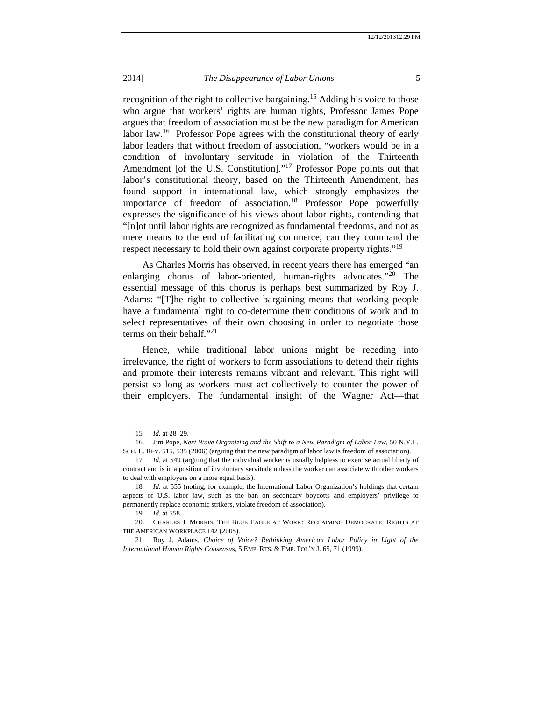recognition of the right to collective bargaining.<sup>15</sup> Adding his voice to those who argue that workers' rights are human rights, Professor James Pope argues that freedom of association must be the new paradigm for American labor law.<sup>16</sup> Professor Pope agrees with the constitutional theory of early labor leaders that without freedom of association, "workers would be in a condition of involuntary servitude in violation of the Thirteenth Amendment [of the U.S. Constitution]."<sup>17</sup> Professor Pope points out that labor's constitutional theory, based on the Thirteenth Amendment, has found support in international law, which strongly emphasizes the importance of freedom of association.<sup>18</sup> Professor Pope powerfully expresses the significance of his views about labor rights, contending that "[n]ot until labor rights are recognized as fundamental freedoms, and not as mere means to the end of facilitating commerce, can they command the respect necessary to hold their own against corporate property rights."<sup>19</sup>

As Charles Morris has observed, in recent years there has emerged "an enlarging chorus of labor-oriented, human-rights advocates."<sup>20</sup> The essential message of this chorus is perhaps best summarized by Roy J. Adams: "[T]he right to collective bargaining means that working people have a fundamental right to co-determine their conditions of work and to select representatives of their own choosing in order to negotiate those terms on their behalf."<sup>21</sup>

Hence, while traditional labor unions might be receding into irrelevance, the right of workers to form associations to defend their rights and promote their interests remains vibrant and relevant. This right will persist so long as workers must act collectively to counter the power of their employers. The fundamental insight of the Wagner Act—that

<sup>15</sup>*. Id*. at 28–29.

 <sup>16.</sup> Jim Pope, *Next Wave Organizing and the Shift to a New Paradigm of Labor Law*, 50 N.Y.L. SCH. L. REV. 515, 535 (2006) (arguing that the new paradigm of labor law is freedom of association).

<sup>17</sup>*. Id*. at 549 (arguing that the individual worker is usually helpless to exercise actual liberty of contract and is in a position of involuntary servitude unless the worker can associate with other workers to deal with employers on a more equal basis).

<sup>18</sup>*. Id*. at 555 (noting, for example, the International Labor Organization's holdings that certain aspects of U.S. labor law, such as the ban on secondary boycotts and employers' privilege to permanently replace economic strikers, violate freedom of association).

<sup>19</sup>*. Id*. at 558.

 <sup>20.</sup> CHARLES J. MORRIS, THE BLUE EAGLE AT WORK: RECLAIMING DEMOCRATIC RIGHTS AT THE AMERICAN WORKPLACE 142 (2005).

 <sup>21.</sup> Roy J. Adams, *Choice of Voice? Rethinking American Labor Policy in Light of the International Human Rights Consensu*s, 5 EMP. RTS. & EMP. POL'Y J. 65, 71 (1999).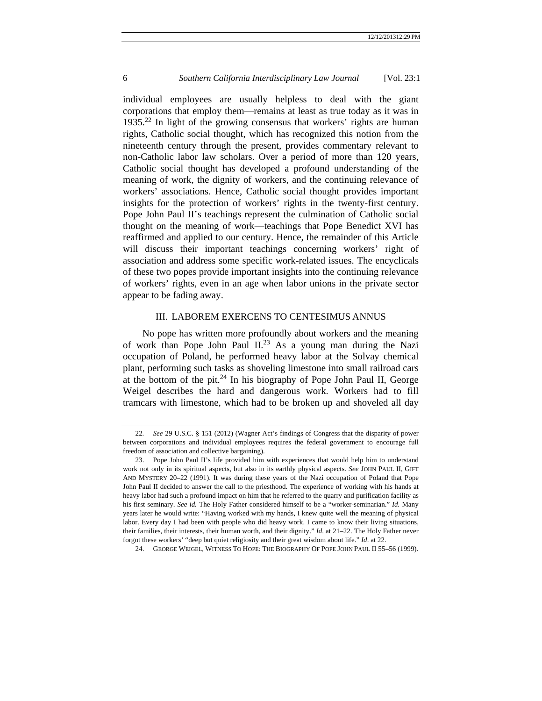individual employees are usually helpless to deal with the giant corporations that employ them—remains at least as true today as it was in 1935.22 In light of the growing consensus that workers' rights are human rights, Catholic social thought, which has recognized this notion from the nineteenth century through the present, provides commentary relevant to non-Catholic labor law scholars. Over a period of more than 120 years, Catholic social thought has developed a profound understanding of the meaning of work, the dignity of workers, and the continuing relevance of workers' associations. Hence, Catholic social thought provides important insights for the protection of workers' rights in the twenty-first century. Pope John Paul II's teachings represent the culmination of Catholic social thought on the meaning of work—teachings that Pope Benedict XVI has reaffirmed and applied to our century. Hence, the remainder of this Article will discuss their important teachings concerning workers' right of association and address some specific work-related issues. The encyclicals of these two popes provide important insights into the continuing relevance of workers' rights, even in an age when labor unions in the private sector appear to be fading away.

# III. LABOREM EXERCENS TO CENTESIMUS ANNUS

No pope has written more profoundly about workers and the meaning of work than Pope John Paul II.<sup>23</sup> As a young man during the Nazi occupation of Poland, he performed heavy labor at the Solvay chemical plant, performing such tasks as shoveling limestone into small railroad cars at the bottom of the pit. $24$  In his biography of Pope John Paul II, George Weigel describes the hard and dangerous work. Workers had to fill tramcars with limestone, which had to be broken up and shoveled all day

<sup>22</sup>*. See* 29 U.S.C. § 151 (2012) (Wagner Act's findings of Congress that the disparity of power between corporations and individual employees requires the federal government to encourage full freedom of association and collective bargaining).

 <sup>23.</sup> Pope John Paul II's life provided him with experiences that would help him to understand work not only in its spiritual aspects, but also in its earthly physical aspects. *See* JOHN PAUL II, GIFT AND MYSTERY 20–22 (1991). It was during these years of the Nazi occupation of Poland that Pope John Paul II decided to answer the call to the priesthood. The experience of working with his hands at heavy labor had such a profound impact on him that he referred to the quarry and purification facility as his first seminary. *See id.* The Holy Father considered himself to be a "worker-seminarian." *Id.* Many years later he would write: "Having worked with my hands, I knew quite well the meaning of physical labor. Every day I had been with people who did heavy work. I came to know their living situations, their families, their interests, their human worth, and their dignity." *Id*. at 21–22. The Holy Father never forgot these workers' "deep but quiet religiosity and their great wisdom about life." *Id*. at 22.

 <sup>24.</sup> GEORGE WEIGEL, WITNESS TO HOPE: THE BIOGRAPHY OF POPE JOHN PAUL II 55–56 (1999).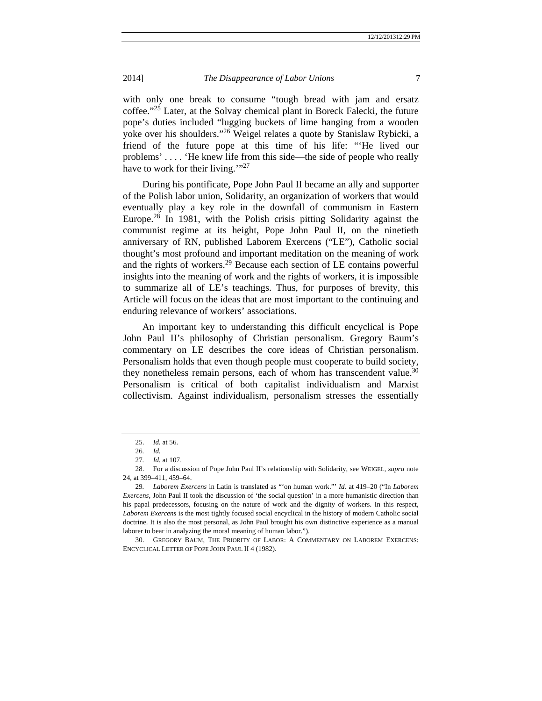with only one break to consume "tough bread with jam and ersatz coffee."25 Later, at the Solvay chemical plant in Boreck Falecki, the future pope's duties included "lugging buckets of lime hanging from a wooden yoke over his shoulders."26 Weigel relates a quote by Stanislaw Rybicki, a friend of the future pope at this time of his life: "'He lived our problems' . . . . 'He knew life from this side—the side of people who really have to work for their living."<sup>27</sup>

During his pontificate, Pope John Paul II became an ally and supporter of the Polish labor union, Solidarity, an organization of workers that would eventually play a key role in the downfall of communism in Eastern Europe.<sup>28</sup> In 1981, with the Polish crisis pitting Solidarity against the communist regime at its height, Pope John Paul II, on the ninetieth anniversary of RN, published Laborem Exercens ("LE"), Catholic social thought's most profound and important meditation on the meaning of work and the rights of workers.<sup>29</sup> Because each section of LE contains powerful insights into the meaning of work and the rights of workers, it is impossible to summarize all of LE's teachings. Thus, for purposes of brevity, this Article will focus on the ideas that are most important to the continuing and enduring relevance of workers' associations.

An important key to understanding this difficult encyclical is Pope John Paul II's philosophy of Christian personalism. Gregory Baum's commentary on LE describes the core ideas of Christian personalism. Personalism holds that even though people must cooperate to build society, they nonetheless remain persons, each of whom has transcendent value.<sup>30</sup> Personalism is critical of both capitalist individualism and Marxist collectivism. Against individualism, personalism stresses the essentially

 <sup>25.</sup> *Id.* at 56.

<sup>26</sup>*. Id.*

<sup>27</sup>*. Id.* at 107.

 <sup>28.</sup> For a discussion of Pope John Paul II's relationship with Solidarity, see WEIGEL, *supra* note 24, at 399–411, 459–64.

<sup>29</sup>*. Laborem Exercens* in Latin is translated as "'on human work."' *Id.* at 419–20 ("In *Laborem Exercens*, John Paul II took the discussion of 'the social question' in a more humanistic direction than his papal predecessors, focusing on the nature of work and the dignity of workers. In this respect, *Laborem Exercens* is the most tightly focused social encyclical in the history of modern Catholic social doctrine. It is also the most personal, as John Paul brought his own distinctive experience as a manual laborer to bear in analyzing the moral meaning of human labor.").

 <sup>30.</sup> GREGORY BAUM, THE PRIORITY OF LABOR: A COMMENTARY ON LABOREM EXERCENS: ENCYCLICAL LETTER OF POPE JOHN PAUL II 4 (1982).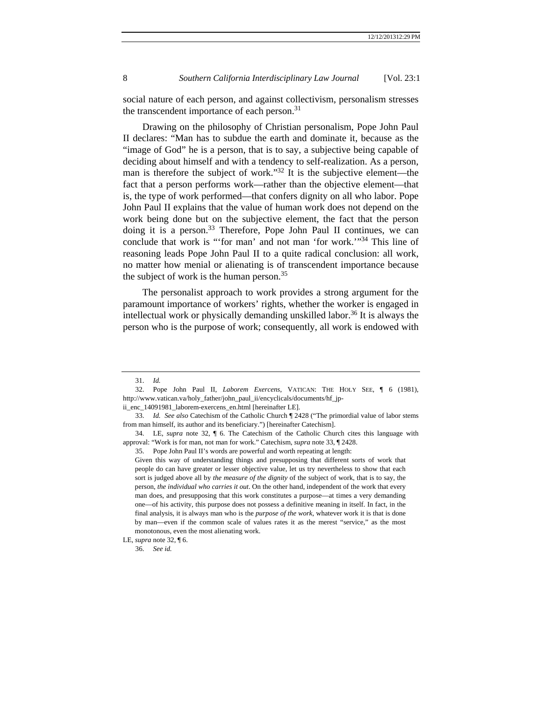social nature of each person, and against collectivism, personalism stresses the transcendent importance of each person.<sup>31</sup>

Drawing on the philosophy of Christian personalism, Pope John Paul II declares: "Man has to subdue the earth and dominate it, because as the "image of God" he is a person, that is to say, a subjective being capable of deciding about himself and with a tendency to self-realization. As a person, man is therefore the subject of work."32 It is the subjective element—the fact that a person performs work—rather than the objective element—that is, the type of work performed—that confers dignity on all who labor. Pope John Paul II explains that the value of human work does not depend on the work being done but on the subjective element, the fact that the person doing it is a person.<sup>33</sup> Therefore, Pope John Paul II continues, we can conclude that work is "'for man' and not man 'for work.'"34 This line of reasoning leads Pope John Paul II to a quite radical conclusion: all work, no matter how menial or alienating is of transcendent importance because the subject of work is the human person.<sup>35</sup>

The personalist approach to work provides a strong argument for the paramount importance of workers' rights, whether the worker is engaged in intellectual work or physically demanding unskilled labor.<sup>36</sup> It is always the person who is the purpose of work; consequently, all work is endowed with

 <sup>31.</sup> *Id.*

 <sup>32.</sup> Pope John Paul II, *Laborem Exercens*, VATICAN: THE HOLY SEE, ¶ 6 (1981), http://www.vatican.va/holy\_father/john\_paul\_ii/encyclicals/documents/hf\_jp-

ii\_enc\_14091981\_laborem-exercens\_en.html [hereinafter LE].

 <sup>33.</sup> *Id. See also* Catechism of the Catholic Church ¶ 2428 ("The primordial value of labor stems from man himself, its author and its beneficiary.") [hereinafter Catechism].

 <sup>34.</sup> LE, *supra* note 32, ¶ 6. The Catechism of the Catholic Church cites this language with approval: "Work is for man, not man for work." Catechism, *supra* note 33, ¶ 2428.

 <sup>35.</sup> Pope John Paul II's words are powerful and worth repeating at length:

Given this way of understanding things and presupposing that different sorts of work that people do can have greater or lesser objective value, let us try nevertheless to show that each sort is judged above all by *the measure of the dignity* of the subject of work, that is to say, the person, *the individual who carries it out*. On the other hand, independent of the work that every man does, and presupposing that this work constitutes a purpose—at times a very demanding one—of his activity, this purpose does not possess a definitive meaning in itself. In fact, in the final analysis, it is always man who is the *purpose of the work*, whatever work it is that is done by man—even if the common scale of values rates it as the merest "service," as the most monotonous, even the most alienating work.

LE, *supra* note 32, ¶ 6.

 <sup>36.</sup> *See id.*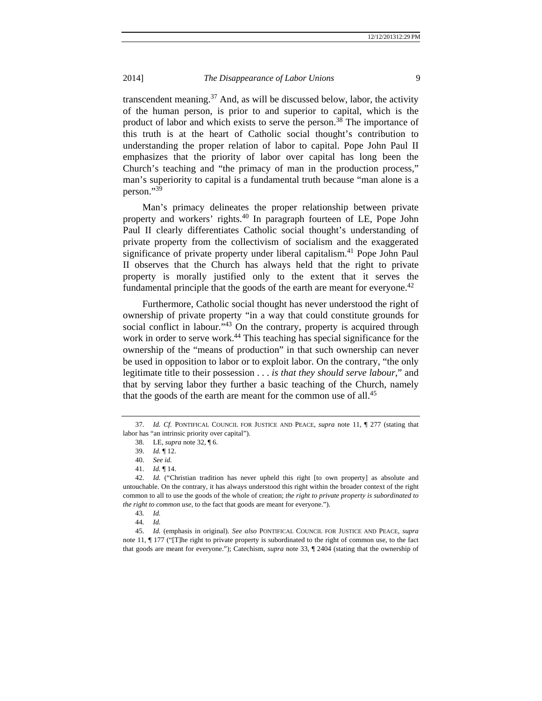transcendent meaning.<sup>37</sup> And, as will be discussed below, labor, the activity of the human person, is prior to and superior to capital, which is the product of labor and which exists to serve the person.38 The importance of this truth is at the heart of Catholic social thought's contribution to understanding the proper relation of labor to capital. Pope John Paul II emphasizes that the priority of labor over capital has long been the Church's teaching and "the primacy of man in the production process," man's superiority to capital is a fundamental truth because "man alone is a person." $39$ 

Man's primacy delineates the proper relationship between private property and workers' rights.40 In paragraph fourteen of LE, Pope John Paul II clearly differentiates Catholic social thought's understanding of private property from the collectivism of socialism and the exaggerated significance of private property under liberal capitalism.<sup>41</sup> Pope John Paul II observes that the Church has always held that the right to private property is morally justified only to the extent that it serves the fundamental principle that the goods of the earth are meant for everyone.<sup>42</sup>

Furthermore, Catholic social thought has never understood the right of ownership of private property "in a way that could constitute grounds for social conflict in labour. $^{343}$  On the contrary, property is acquired through work in order to serve work.<sup>44</sup> This teaching has special significance for the ownership of the "means of production" in that such ownership can never be used in opposition to labor or to exploit labor. On the contrary, "the only legitimate title to their possession . . . *is that they should serve labour*," and that by serving labor they further a basic teaching of the Church, namely that the goods of the earth are meant for the common use of all.<sup>45</sup>

 <sup>37.</sup> *Id. Cf.* PONTIFICAL COUNCIL FOR JUSTICE AND PEACE, *supra* note 11, ¶ 277 (stating that labor has "an intrinsic priority over capital").

 <sup>38.</sup> LE, *supra* note 32, ¶ 6.

 <sup>39.</sup> *Id.* ¶ 12.

 <sup>40.</sup> *See id.*

 <sup>41.</sup> *Id.* ¶ 14.

 <sup>42.</sup> *Id.* ("Christian tradition has never upheld this right [to own property] as absolute and untouchable. On the contrary, it has always understood this right within the broader context of the right common to all to use the goods of the whole of creation; *the right to private property is subordinated to the right to common use*, to the fact that goods are meant for everyone.").

<sup>43</sup>*. Id.*

<sup>44</sup>*. Id.*

 <sup>45.</sup> *Id.* (emphasis in original). *See also* PONTIFICAL COUNCIL FOR JUSTICE AND PEACE, *supra*  note 11, ¶ 177 ("[T]he right to private property is subordinated to the right of common use, to the fact that goods are meant for everyone."); Catechism, *supra* note 33, ¶ 2404 (stating that the ownership of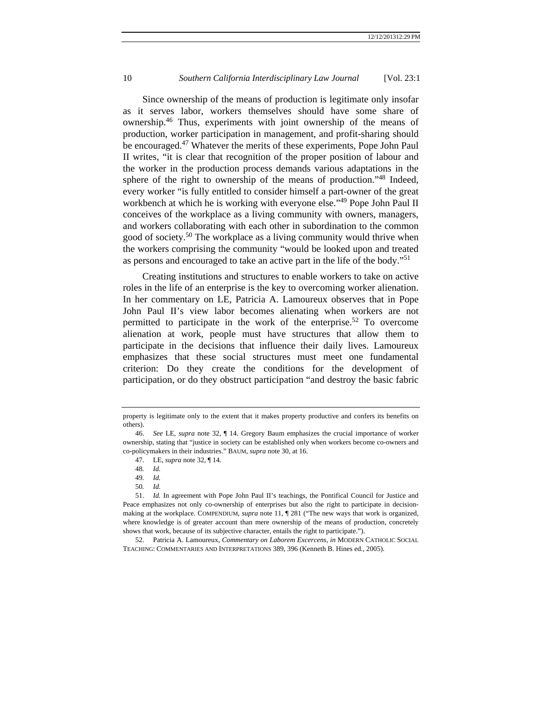Since ownership of the means of production is legitimate only insofar as it serves labor, workers themselves should have some share of ownership.46 Thus, experiments with joint ownership of the means of production, worker participation in management, and profit-sharing should be encouraged.<sup>47</sup> Whatever the merits of these experiments, Pope John Paul II writes, "it is clear that recognition of the proper position of labour and the worker in the production process demands various adaptations in the sphere of the right to ownership of the means of production."<sup>48</sup> Indeed, every worker "is fully entitled to consider himself a part-owner of the great workbench at which he is working with everyone else."49 Pope John Paul II conceives of the workplace as a living community with owners, managers, and workers collaborating with each other in subordination to the common good of society.<sup>50</sup> The workplace as a living community would thrive when the workers comprising the community "would be looked upon and treated as persons and encouraged to take an active part in the life of the body."<sup>51</sup>

Creating institutions and structures to enable workers to take on active roles in the life of an enterprise is the key to overcoming worker alienation. In her commentary on LE, Patricia A. Lamoureux observes that in Pope John Paul II's view labor becomes alienating when workers are not permitted to participate in the work of the enterprise.<sup>52</sup> To overcome alienation at work, people must have structures that allow them to participate in the decisions that influence their daily lives. Lamoureux emphasizes that these social structures must meet one fundamental criterion: Do they create the conditions for the development of participation, or do they obstruct participation "and destroy the basic fabric

49*. Id.*

50*. Id.*

property is legitimate only to the extent that it makes property productive and confers its benefits on others).

 <sup>46.</sup> *See* LE, *supra* note 32, ¶ 14. Gregory Baum emphasizes the crucial importance of worker ownership, stating that "justice in society can be established only when workers become co-owners and co-policymakers in their industries." BAUM, *supra* note 30, at 16.

 <sup>47.</sup> LE, *supra* note 32, ¶ 14*.*

<sup>48</sup>*. Id.*

 <sup>51.</sup> *Id.* In agreement with Pope John Paul II's teachings, the Pontifical Council for Justice and Peace emphasizes not only co-ownership of enterprises but also the right to participate in decisionmaking at the workplace. COMPENDIUM, *supra* note 11, ¶ 281 ("The new ways that work is organized, where knowledge is of greater account than mere ownership of the means of production, concretely shows that work, because of its subjective character, entails the right to participate.").

 <sup>52.</sup> Patricia A. Lamoureux, *Commentary on Laborem Excercens*, *in* MODERN CATHOLIC SOCIAL TEACHING: COMMENTARIES AND INTERPRETATIONS 389, 396 (Kenneth B. Hines ed., 2005).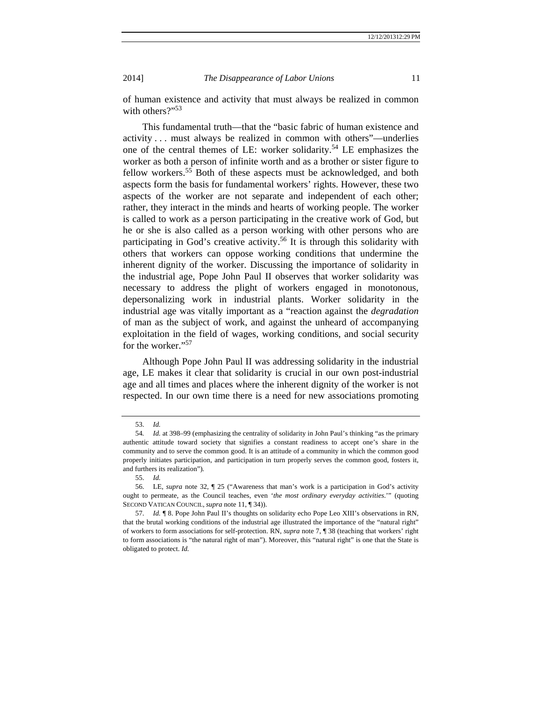of human existence and activity that must always be realized in common with others?"<sup>53</sup>

This fundamental truth—that the "basic fabric of human existence and activity . . . must always be realized in common with others"—underlies one of the central themes of LE: worker solidarity.54 LE emphasizes the worker as both a person of infinite worth and as a brother or sister figure to fellow workers.<sup>55</sup> Both of these aspects must be acknowledged, and both aspects form the basis for fundamental workers' rights. However, these two aspects of the worker are not separate and independent of each other; rather, they interact in the minds and hearts of working people. The worker is called to work as a person participating in the creative work of God, but he or she is also called as a person working with other persons who are participating in God's creative activity.<sup>56</sup> It is through this solidarity with others that workers can oppose working conditions that undermine the inherent dignity of the worker. Discussing the importance of solidarity in the industrial age, Pope John Paul II observes that worker solidarity was necessary to address the plight of workers engaged in monotonous, depersonalizing work in industrial plants. Worker solidarity in the industrial age was vitally important as a "reaction against the *degradation*  of man as the subject of work, and against the unheard of accompanying exploitation in the field of wages, working conditions, and social security for the worker."<sup>57</sup>

Although Pope John Paul II was addressing solidarity in the industrial age, LE makes it clear that solidarity is crucial in our own post-industrial age and all times and places where the inherent dignity of the worker is not respected. In our own time there is a need for new associations promoting

 <sup>53.</sup> *Id.*

<sup>54</sup>*. Id.* at 398–99 (emphasizing the centrality of solidarity in John Paul's thinking "as the primary authentic attitude toward society that signifies a constant readiness to accept one's share in the community and to serve the common good. It is an attitude of a community in which the common good properly initiates participation, and participation in turn properly serves the common good, fosters it, and furthers its realization")*.* 

 <sup>55.</sup> *Id.*

 <sup>56.</sup> LE, *supra* note 32, ¶ 25 ("Awareness that man's work is a participation in God's activity ought to permeate, as the Council teaches, even '*the most ordinary everyday activities*.'" (quoting SECOND VATICAN COUNCIL, *supra* note 11, ¶ 34)).

 <sup>57.</sup> *Id.* ¶ 8. Pope John Paul II's thoughts on solidarity echo Pope Leo XIII's observations in RN, that the brutal working conditions of the industrial age illustrated the importance of the "natural right" of workers to form associations for self-protection. RN, *supra* note 7, ¶ 38 (teaching that workers' right to form associations is "the natural right of man"). Moreover, this "natural right" is one that the State is obligated to protect. *Id.*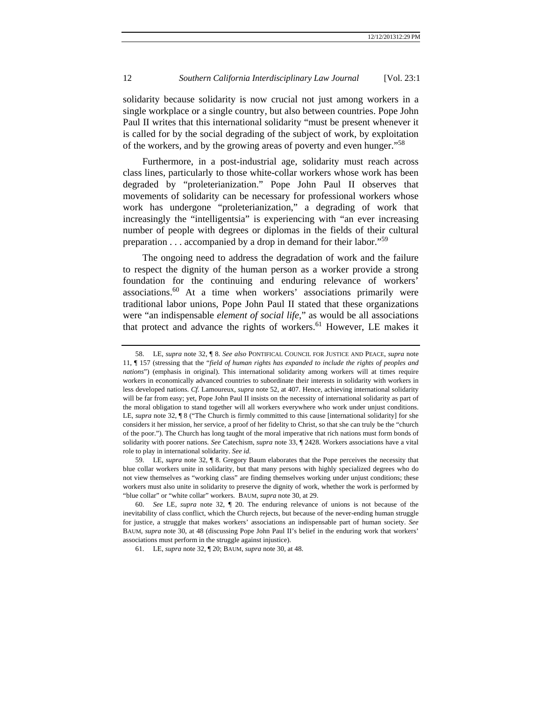solidarity because solidarity is now crucial not just among workers in a single workplace or a single country, but also between countries. Pope John Paul II writes that this international solidarity "must be present whenever it is called for by the social degrading of the subject of work, by exploitation of the workers, and by the growing areas of poverty and even hunger."<sup>58</sup>

Furthermore, in a post-industrial age, solidarity must reach across class lines, particularly to those white-collar workers whose work has been degraded by "proleterianization." Pope John Paul II observes that movements of solidarity can be necessary for professional workers whose work has undergone "proleterianization," a degrading of work that increasingly the "intelligentsia" is experiencing with "an ever increasing number of people with degrees or diplomas in the fields of their cultural preparation . . . accompanied by a drop in demand for their labor."<sup>59</sup>

The ongoing need to address the degradation of work and the failure to respect the dignity of the human person as a worker provide a strong foundation for the continuing and enduring relevance of workers' associations.60 At a time when workers' associations primarily were traditional labor unions, Pope John Paul II stated that these organizations were "an indispensable *element of social life*," as would be all associations that protect and advance the rights of workers.<sup>61</sup> However, LE makes it

 <sup>58.</sup> LE, *supra* note 32, ¶ 8. *See also* PONTIFICAL COUNCIL FOR JUSTICE AND PEACE, *supra* note 11, ¶ 157 (stressing that the "*field of human rights has expanded to include the rights of peoples and nations*") (emphasis in original). This international solidarity among workers will at times require workers in economically advanced countries to subordinate their interests in solidarity with workers in less developed nations. *Cf.* Lamoureux, *supra* note 52, at 407. Hence, achieving international solidarity will be far from easy; yet, Pope John Paul II insists on the necessity of international solidarity as part of the moral obligation to stand together will all workers everywhere who work under unjust conditions. LE, *supra* note 32, ¶ 8 ("The Church is firmly committed to this cause [international solidarity] for she considers it her mission, her service, a proof of her fidelity to Christ, so that she can truly be the "church of the poor."). The Church has long taught of the moral imperative that rich nations must form bonds of solidarity with poorer nations. *See* Catechism, *supra* note 33, ¶ 2428. Workers associations have a vital role to play in international solidarity. *See id.*

 <sup>59.</sup> LE, *supra* note 32, ¶ 8. Gregory Baum elaborates that the Pope perceives the necessity that blue collar workers unite in solidarity, but that many persons with highly specialized degrees who do not view themselves as "working class" are finding themselves working under unjust conditions; these workers must also unite in solidarity to preserve the dignity of work, whether the work is performed by "blue collar" or "white collar" workers. BAUM, *supra* note 30, at 29.

 <sup>60.</sup> *See* LE, *supra* note 32, ¶ 20. The enduring relevance of unions is not because of the inevitability of class conflict, which the Church rejects, but because of the never-ending human struggle for justice, a struggle that makes workers' associations an indispensable part of human society. *See* BAUM, *supra* note 30, at 48 (discussing Pope John Paul II's belief in the enduring work that workers' associations must perform in the struggle against injustice).

 <sup>61.</sup> LE, *supra* note 32, ¶ 20; BAUM, *supra* note 30, at 48.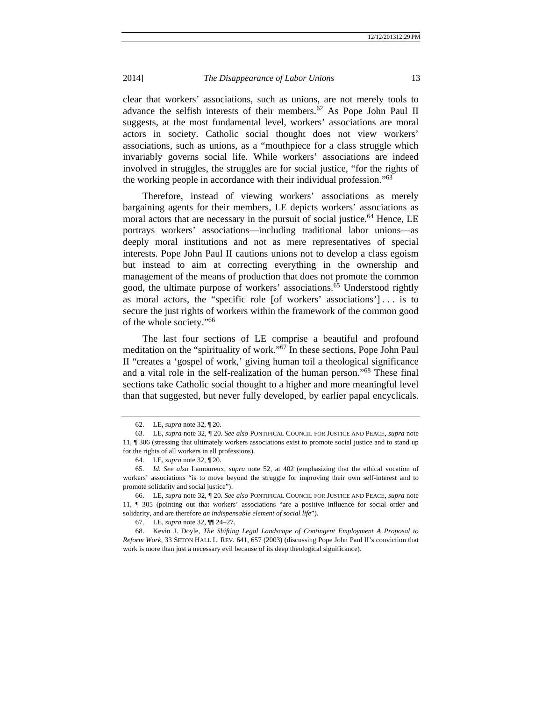clear that workers' associations, such as unions, are not merely tools to advance the selfish interests of their members.<sup>62</sup> As Pope John Paul II suggests, at the most fundamental level, workers' associations are moral actors in society. Catholic social thought does not view workers' associations, such as unions, as a "mouthpiece for a class struggle which invariably governs social life. While workers' associations are indeed involved in struggles, the struggles are for social justice, "for the rights of the working people in accordance with their individual profession."63

Therefore, instead of viewing workers' associations as merely bargaining agents for their members, LE depicts workers' associations as moral actors that are necessary in the pursuit of social justice.<sup>64</sup> Hence, LE portrays workers' associations—including traditional labor unions—as deeply moral institutions and not as mere representatives of special interests. Pope John Paul II cautions unions not to develop a class egoism but instead to aim at correcting everything in the ownership and management of the means of production that does not promote the common good, the ultimate purpose of workers' associations. $65$  Understood rightly as moral actors, the "specific role [of workers' associations'] . . . is to secure the just rights of workers within the framework of the common good of the whole society."66

The last four sections of LE comprise a beautiful and profound meditation on the "spirituality of work."67 In these sections, Pope John Paul II "creates a 'gospel of work,' giving human toil a theological significance and a vital role in the self-realization of the human person."68 These final sections take Catholic social thought to a higher and more meaningful level than that suggested, but never fully developed, by earlier papal encyclicals.

 <sup>62.</sup> LE, *supra* note 32, ¶ 20.

 <sup>63.</sup> LE, *supra* note 32, ¶ 20. *See also* PONTIFICAL COUNCIL FOR JUSTICE AND PEACE, *supra* note 11, ¶ 306 (stressing that ultimately workers associations exist to promote social justice and to stand up for the rights of all workers in all professions).

 <sup>64.</sup> LE, *supra* note 32, ¶ 20.

 <sup>65.</sup> *Id. See also* Lamoureux, *supra* note 52, at 402 (emphasizing that the ethical vocation of workers' associations "is to move beyond the struggle for improving their own self-interest and to promote solidarity and social justice").

 <sup>66.</sup> LE, *supra* note 32, ¶ 20. *See also* PONTIFICAL COUNCIL FOR JUSTICE AND PEACE, *supra* note 11, ¶ 305 (pointing out that workers' associations "are a positive influence for social order and solidarity, and are therefore *an indispensable element of social life*").

 <sup>67.</sup> LE, *supra* note 32, ¶¶ 24–27.

 <sup>68.</sup> Kevin J. Doyle, *The Shifting Legal Landscape of Contingent Employment A Proposal to Reform Work*, 33 SETON HALL L. REV. 641, 657 (2003) (discussing Pope John Paul II's conviction that work is more than just a necessary evil because of its deep theological significance).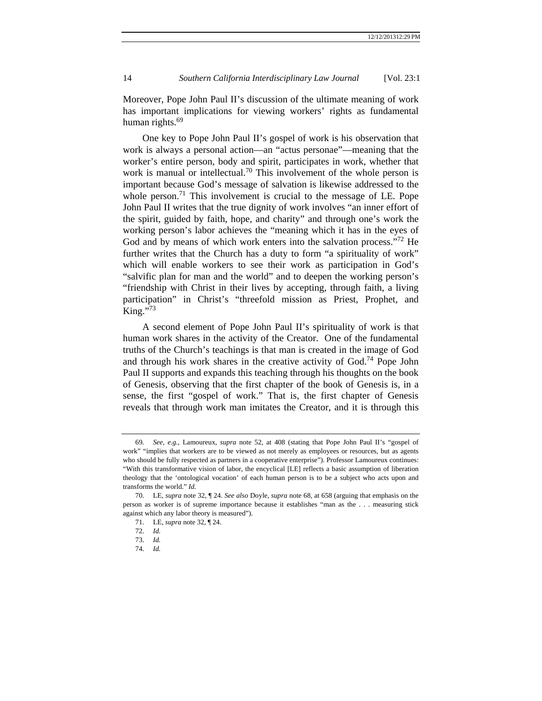Moreover, Pope John Paul II's discussion of the ultimate meaning of work has important implications for viewing workers' rights as fundamental human rights.<sup>69</sup>

One key to Pope John Paul II's gospel of work is his observation that work is always a personal action—an "actus personae"—meaning that the worker's entire person, body and spirit, participates in work, whether that work is manual or intellectual.<sup>70</sup> This involvement of the whole person is important because God's message of salvation is likewise addressed to the whole person.<sup>71</sup> This involvement is crucial to the message of LE. Pope John Paul II writes that the true dignity of work involves "an inner effort of the spirit, guided by faith, hope, and charity" and through one's work the working person's labor achieves the "meaning which it has in the eyes of God and by means of which work enters into the salvation process."<sup>72</sup> He further writes that the Church has a duty to form "a spirituality of work" which will enable workers to see their work as participation in God's "salvific plan for man and the world" and to deepen the working person's "friendship with Christ in their lives by accepting, through faith, a living participation" in Christ's "threefold mission as Priest, Prophet, and King." $73$ 

A second element of Pope John Paul II's spirituality of work is that human work shares in the activity of the Creator. One of the fundamental truths of the Church's teachings is that man is created in the image of God and through his work shares in the creative activity of  $God.<sup>74</sup> Pope John$ Paul II supports and expands this teaching through his thoughts on the book of Genesis, observing that the first chapter of the book of Genesis is, in a sense, the first "gospel of work." That is, the first chapter of Genesis reveals that through work man imitates the Creator, and it is through this

<sup>69</sup>*. See, e.g.*, Lamoureux, *supra* note 52, at 408 (stating that Pope John Paul II's "gospel of work" "implies that workers are to be viewed as not merely as employees or resources, but as agents who should be fully respected as partners in a cooperative enterprise"). Professor Lamoureux continues: "With this transformative vision of labor, the encyclical [LE] reflects a basic assumption of liberation theology that the 'ontological vocation' of each human person is to be a subject who acts upon and transforms the world." *Id.*

 <sup>70.</sup> LE, *supra* note 32, ¶ 24. *See also* Doyle, *supra* note 68, at 658 (arguing that emphasis on the person as worker is of supreme importance because it establishes "man as the . . . measuring stick against which any labor theory is measured").

 <sup>71.</sup> LE, *supra* note 32, ¶ 24.

 <sup>72.</sup> *Id.*

 <sup>73.</sup> *Id.*

 <sup>74.</sup> *Id.*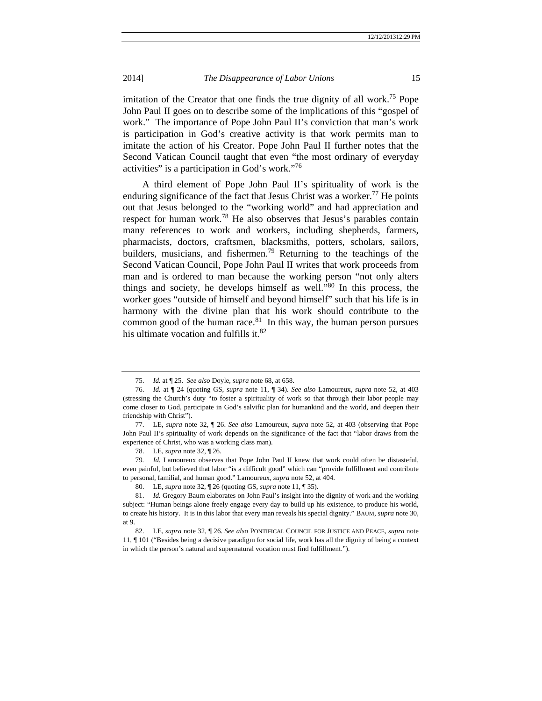imitation of the Creator that one finds the true dignity of all work.<sup>75</sup> Pope John Paul II goes on to describe some of the implications of this "gospel of work." The importance of Pope John Paul II's conviction that man's work is participation in God's creative activity is that work permits man to imitate the action of his Creator. Pope John Paul II further notes that the Second Vatican Council taught that even "the most ordinary of everyday activities" is a participation in God's work."<sup>76</sup>

A third element of Pope John Paul II's spirituality of work is the enduring significance of the fact that Jesus Christ was a worker.<sup>77</sup> He points out that Jesus belonged to the "working world" and had appreciation and respect for human work.<sup>78</sup> He also observes that Jesus's parables contain many references to work and workers, including shepherds, farmers, pharmacists, doctors, craftsmen, blacksmiths, potters, scholars, sailors, builders, musicians, and fishermen.<sup>79</sup> Returning to the teachings of the Second Vatican Council, Pope John Paul II writes that work proceeds from man and is ordered to man because the working person "not only alters things and society, he develops himself as well. $\cdot$ <sup>80</sup> In this process, the worker goes "outside of himself and beyond himself" such that his life is in harmony with the divine plan that his work should contribute to the common good of the human race. $81$  In this way, the human person pursues his ultimate vocation and fulfills it.<sup>82</sup>

 <sup>75.</sup> *Id.* at ¶ 25. *See also* Doyle, *supra* note 68, at 658.

 <sup>76.</sup> *Id.* at ¶ 24 (quoting GS, *supra* note 11, ¶ 34). *See also* Lamoureux, *supra* note 52, at 403 (stressing the Church's duty "to foster a spirituality of work so that through their labor people may come closer to God, participate in God's salvific plan for humankind and the world, and deepen their friendship with Christ").

 <sup>77.</sup> LE, *supra* note 32, ¶ 26. *See also* Lamoureux, *supra* note 52, at 403 (observing that Pope John Paul II's spirituality of work depends on the significance of the fact that "labor draws from the experience of Christ, who was a working class man).

 <sup>78.</sup> LE, *supra* note 32, ¶ 26.

<sup>79</sup>*. Id.* Lamoureux observes that Pope John Paul II knew that work could often be distasteful, even painful, but believed that labor "is a difficult good" which can "provide fulfillment and contribute to personal, familial, and human good." Lamoureux, *supra* note 52, at 404.

 <sup>80.</sup> LE, *supra* note 32, ¶ 26 (quoting GS, *supra* note 11, ¶ 35).

 <sup>81.</sup> *Id.* Gregory Baum elaborates on John Paul's insight into the dignity of work and the working subject: "Human beings alone freely engage every day to build up his existence, to produce his world, to create his history. It is in this labor that every man reveals his special dignity." BAUM, *supra* note 30, at 9.

 <sup>82.</sup> LE, *supra* note 32, ¶ 26. *See also* PONTIFICAL COUNCIL FOR JUSTICE AND PEACE, *supra* note 11, ¶ 101 ("Besides being a decisive paradigm for social life, work has all the dignity of being a context in which the person's natural and supernatural vocation must find fulfillment.").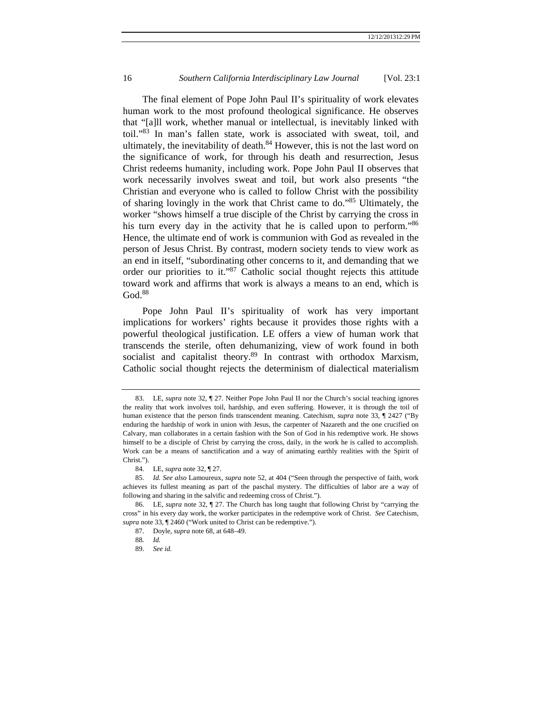The final element of Pope John Paul II's spirituality of work elevates human work to the most profound theological significance. He observes that "[a]ll work, whether manual or intellectual, is inevitably linked with toil."83 In man's fallen state, work is associated with sweat, toil, and ultimately, the inevitability of death. $84$  However, this is not the last word on the significance of work, for through his death and resurrection, Jesus Christ redeems humanity, including work. Pope John Paul II observes that work necessarily involves sweat and toil, but work also presents "the Christian and everyone who is called to follow Christ with the possibility of sharing lovingly in the work that Christ came to do."85 Ultimately, the worker "shows himself a true disciple of the Christ by carrying the cross in his turn every day in the activity that he is called upon to perform.<sup>86</sup> Hence, the ultimate end of work is communion with God as revealed in the person of Jesus Christ. By contrast, modern society tends to view work as an end in itself, "subordinating other concerns to it, and demanding that we order our priorities to it."87 Catholic social thought rejects this attitude toward work and affirms that work is always a means to an end, which is God.<sup>88</sup>

Pope John Paul II's spirituality of work has very important implications for workers' rights because it provides those rights with a powerful theological justification. LE offers a view of human work that transcends the sterile, often dehumanizing, view of work found in both socialist and capitalist theory.<sup>89</sup> In contrast with orthodox Marxism, Catholic social thought rejects the determinism of dialectical materialism

 <sup>83.</sup> LE, *supra* note 32, ¶ 27. Neither Pope John Paul II nor the Church's social teaching ignores the reality that work involves toil, hardship, and even suffering. However, it is through the toil of human existence that the person finds transcendent meaning. Catechism, *supra* note 33, ¶ 2427 ("By enduring the hardship of work in union with Jesus, the carpenter of Nazareth and the one crucified on Calvary, man collaborates in a certain fashion with the Son of God in his redemptive work. He shows himself to be a disciple of Christ by carrying the cross, daily, in the work he is called to accomplish. Work can be a means of sanctification and a way of animating earthly realities with the Spirit of Christ.").

 <sup>84.</sup> LE, *supra* note 32, ¶ 27.

 <sup>85.</sup> *Id. See also* Lamoureux, *supra* note 52, at 404 ("Seen through the perspective of faith, work achieves its fullest meaning as part of the paschal mystery. The difficulties of labor are a way of following and sharing in the salvific and redeeming cross of Christ.").

 <sup>86.</sup> LE, *supra* note 32, ¶ 27. The Church has long taught that following Christ by "carrying the cross" in his every day work, the worker participates in the redemptive work of Christ. *See* Catechism, *supra* note 33, ¶ 2460 ("Work united to Christ can be redemptive.").

 <sup>87.</sup> Doyle, *supra* note 68, at 648–49.

<sup>88</sup>*. Id.*

 <sup>89.</sup> *See id.*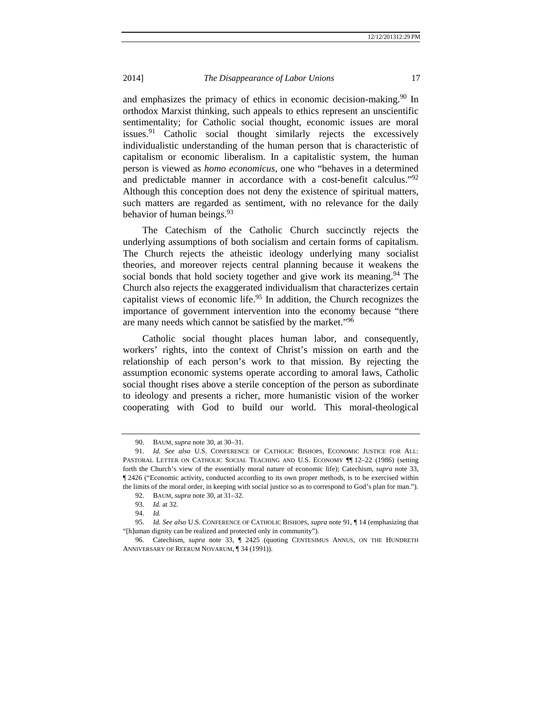and emphasizes the primacy of ethics in economic decision-making.<sup>90</sup> In orthodox Marxist thinking, such appeals to ethics represent an unscientific sentimentality; for Catholic social thought, economic issues are moral issues.<sup>91</sup> Catholic social thought similarly rejects the excessively individualistic understanding of the human person that is characteristic of capitalism or economic liberalism. In a capitalistic system, the human person is viewed as *homo economicus*, one who "behaves in a determined and predictable manner in accordance with a cost-benefit calculus."<sup>92</sup> Although this conception does not deny the existence of spiritual matters, such matters are regarded as sentiment, with no relevance for the daily behavior of human beings.  $93<sup>3</sup>$ 

The Catechism of the Catholic Church succinctly rejects the underlying assumptions of both socialism and certain forms of capitalism. The Church rejects the atheistic ideology underlying many socialist theories, and moreover rejects central planning because it weakens the social bonds that hold society together and give work its meaning.<sup>94</sup> The Church also rejects the exaggerated individualism that characterizes certain capitalist views of economic life.<sup>95</sup> In addition, the Church recognizes the importance of government intervention into the economy because "there are many needs which cannot be satisfied by the market."<sup>96</sup>

Catholic social thought places human labor, and consequently, workers' rights, into the context of Christ's mission on earth and the relationship of each person's work to that mission. By rejecting the assumption economic systems operate according to amoral laws, Catholic social thought rises above a sterile conception of the person as subordinate to ideology and presents a richer, more humanistic vision of the worker cooperating with God to build our world. This moral-theological

 <sup>90.</sup> BAUM, *supra* note 30, at 30–31.

 <sup>91.</sup> *Id. See also* U.S. CONFERENCE OF CATHOLIC BISHOPS, ECONOMIC JUSTICE FOR ALL: PASTORAL LETTER ON CATHOLIC SOCIAL TEACHING AND U.S. ECONOMY ¶¶ 12–22 (1986) (setting forth the Church's view of the essentially moral nature of economic life); Catechism, *supra* note 33, ¶ 2426 ("Economic activity, conducted according to its own proper methods, is to be exercised within the limits of the moral order, in keeping with social justice so as to correspond to God's plan for man.").

 <sup>92.</sup> BAUM, *supra* note 30, at 31–32.

<sup>93</sup>*. Id.* at 32.

 <sup>94.</sup> *Id.* 

 <sup>95.</sup> *Id. See also* U.S. CONFERENCE OF CATHOLIC BISHOPS, *supra* note 91, ¶ 14 (emphasizing that "[h]uman dignity can be realized and protected only in community").

 <sup>96.</sup> Catechism, *supra* note 33, ¶ 2425 (quoting CENTESIMUS ANNUS, ON THE HUNDRETH ANNIVERSARY OF REERUM NOVARUM, ¶ 34 (1991)).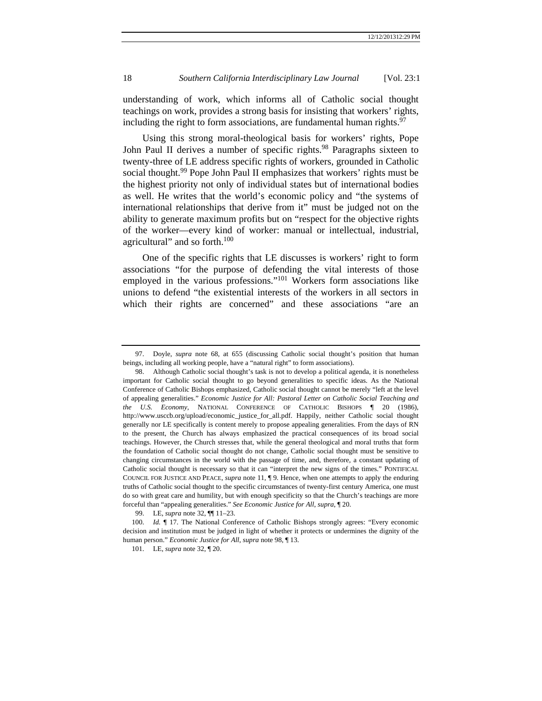understanding of work, which informs all of Catholic social thought teachings on work, provides a strong basis for insisting that workers' rights, including the right to form associations, are fundamental human rights. $97$ 

Using this strong moral-theological basis for workers' rights, Pope John Paul II derives a number of specific rights.<sup>98</sup> Paragraphs sixteen to twenty-three of LE address specific rights of workers, grounded in Catholic social thought.<sup>99</sup> Pope John Paul II emphasizes that workers' rights must be the highest priority not only of individual states but of international bodies as well. He writes that the world's economic policy and "the systems of international relationships that derive from it" must be judged not on the ability to generate maximum profits but on "respect for the objective rights of the worker—every kind of worker: manual or intellectual, industrial, agricultural" and so forth.<sup>100</sup>

One of the specific rights that LE discusses is workers' right to form associations "for the purpose of defending the vital interests of those employed in the various professions."101 Workers form associations like unions to defend "the existential interests of the workers in all sectors in which their rights are concerned" and these associations "are an

 <sup>97.</sup> Doyle, *supra* note 68, at 655 (discussing Catholic social thought's position that human beings, including all working people, have a "natural right" to form associations).

 <sup>98.</sup> Although Catholic social thought's task is not to develop a political agenda, it is nonetheless important for Catholic social thought to go beyond generalities to specific ideas. As the National Conference of Catholic Bishops emphasized, Catholic social thought cannot be merely "left at the level of appealing generalities." *Economic Justice for All: Pastoral Letter on Catholic Social Teaching and the U.S. Economy*, NATIONAL CONFERENCE OF CATHOLIC BISHOPS ¶ 20 (1986), http://www.usccb.org/upload/economic\_justice\_for\_all.pdf. Happily, neither Catholic social thought generally nor LE specifically is content merely to propose appealing generalities. From the days of RN to the present, the Church has always emphasized the practical consequences of its broad social teachings. However, the Church stresses that, while the general theological and moral truths that form the foundation of Catholic social thought do not change, Catholic social thought must be sensitive to changing circumstances in the world with the passage of time, and, therefore, a constant updating of Catholic social thought is necessary so that it can "interpret the new signs of the times." PONTIFICAL COUNCIL FOR JUSTICE AND PEACE, *supra* note 11, ¶ 9. Hence, when one attempts to apply the enduring truths of Catholic social thought to the specific circumstances of twenty-first century America, one must do so with great care and humility, but with enough specificity so that the Church's teachings are more forceful than "appealing generalities." *See Economic Justice for All*, *supra*, ¶ 20.

 <sup>99.</sup> LE, *supra* note 32, ¶¶ 11–23.

<sup>100.</sup> *Id. ¶* 17. The National Conference of Catholic Bishops strongly agrees: "Every economic decision and institution must be judged in light of whether it protects or undermines the dignity of the human person." *Economic Justice for All*, *supra* note 98, ¶ 13.

 <sup>101.</sup> LE, *supra* note 32, ¶ 20.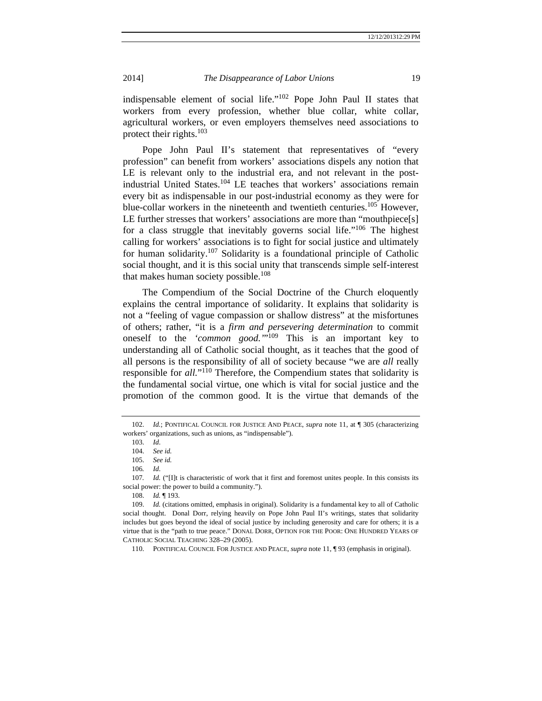indispensable element of social life."102 Pope John Paul II states that workers from every profession, whether blue collar, white collar, agricultural workers, or even employers themselves need associations to protect their rights. $103$ 

Pope John Paul II's statement that representatives of "every profession" can benefit from workers' associations dispels any notion that LE is relevant only to the industrial era, and not relevant in the postindustrial United States.<sup>104</sup> LE teaches that workers' associations remain every bit as indispensable in our post-industrial economy as they were for blue-collar workers in the nineteenth and twentieth centuries.<sup>105</sup> However, LE further stresses that workers' associations are more than "mouthpiece[s] for a class struggle that inevitably governs social life."<sup>106</sup> The highest calling for workers' associations is to fight for social justice and ultimately for human solidarity.<sup>107</sup> Solidarity is a foundational principle of Catholic social thought, and it is this social unity that transcends simple self-interest that makes human society possible.<sup>108</sup>

The Compendium of the Social Doctrine of the Church eloquently explains the central importance of solidarity. It explains that solidarity is not a "feeling of vague compassion or shallow distress" at the misfortunes of others; rather, "it is a *firm and persevering determination* to commit oneself to the *'common good.'*"109 This is an important key to understanding all of Catholic social thought, as it teaches that the good of all persons is the responsibility of all of society because "we are *all* really responsible for *all.*"110 Therefore, the Compendium states that solidarity is the fundamental social virtue, one which is vital for social justice and the promotion of the common good. It is the virtue that demands of the

 <sup>102.</sup> *Id.*; PONTIFICAL COUNCIL FOR JUSTICE AND PEACE, *supra* note 11, at ¶ 305 (characterizing workers' organizations, such as unions, as "indispensable").

 <sup>103.</sup> *Id*.

 <sup>104.</sup> *See id.*

 <sup>105.</sup> *See id.*

<sup>106</sup>*. Id*.

<sup>107.</sup> Id. ("[I]t is characteristic of work that it first and foremost unites people. In this consists its social power: the power to build a community.").

 <sup>108.</sup> *Id.* ¶ 193.

 <sup>109.</sup> *Id.* (citations omitted, emphasis in original). Solidarity is a fundamental key to all of Catholic social thought. Donal Dorr, relying heavily on Pope John Paul II's writings, states that solidarity includes but goes beyond the ideal of social justice by including generosity and care for others; it is a virtue that is the "path to true peace." DONAL DORR, OPTION FOR THE POOR: ONE HUNDRED YEARS OF CATHOLIC SOCIAL TEACHING 328–29 (2005).

 <sup>110.</sup> PONTIFICAL COUNCIL FOR JUSTICE AND PEACE, *supra* note 11, ¶ 93 (emphasis in original).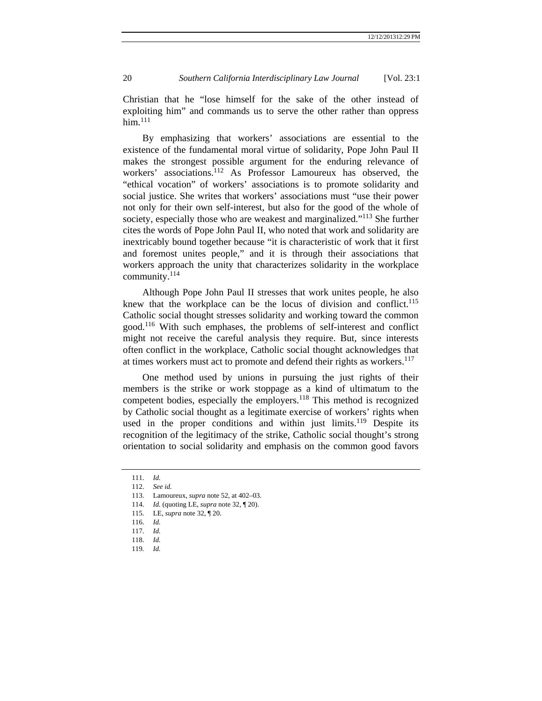Christian that he "lose himself for the sake of the other instead of exploiting him" and commands us to serve the other rather than oppress  $him.<sup>111</sup>$ 

By emphasizing that workers' associations are essential to the existence of the fundamental moral virtue of solidarity, Pope John Paul II makes the strongest possible argument for the enduring relevance of workers' associations.<sup>112</sup> As Professor Lamoureux has observed, the "ethical vocation" of workers' associations is to promote solidarity and social justice. She writes that workers' associations must "use their power not only for their own self-interest, but also for the good of the whole of society, especially those who are weakest and marginalized."<sup>113</sup> She further cites the words of Pope John Paul II, who noted that work and solidarity are inextricably bound together because "it is characteristic of work that it first and foremost unites people," and it is through their associations that workers approach the unity that characterizes solidarity in the workplace community.114

Although Pope John Paul II stresses that work unites people, he also knew that the workplace can be the locus of division and conflict.<sup>115</sup> Catholic social thought stresses solidarity and working toward the common good.116 With such emphases, the problems of self-interest and conflict might not receive the careful analysis they require. But, since interests often conflict in the workplace, Catholic social thought acknowledges that at times workers must act to promote and defend their rights as workers.<sup>117</sup>

One method used by unions in pursuing the just rights of their members is the strike or work stoppage as a kind of ultimatum to the competent bodies, especially the employers.<sup>118</sup> This method is recognized by Catholic social thought as a legitimate exercise of workers' rights when used in the proper conditions and within just limits.<sup>119</sup> Despite its recognition of the legitimacy of the strike, Catholic social thought's strong orientation to social solidarity and emphasis on the common good favors

 <sup>111.</sup> *Id.*

 <sup>112.</sup> *See id.*

 <sup>113.</sup> Lamoureux, *supra* note 52, at 402–03.

 <sup>114.</sup> *Id.* (quoting LE, *supra* note 32, ¶ 20).

 <sup>115.</sup> LE, *supra* note 32, ¶ 20.

 <sup>116.</sup> *Id.*

 <sup>117.</sup> *Id.*

 <sup>118.</sup> *Id.* 

<sup>119</sup>*. Id.*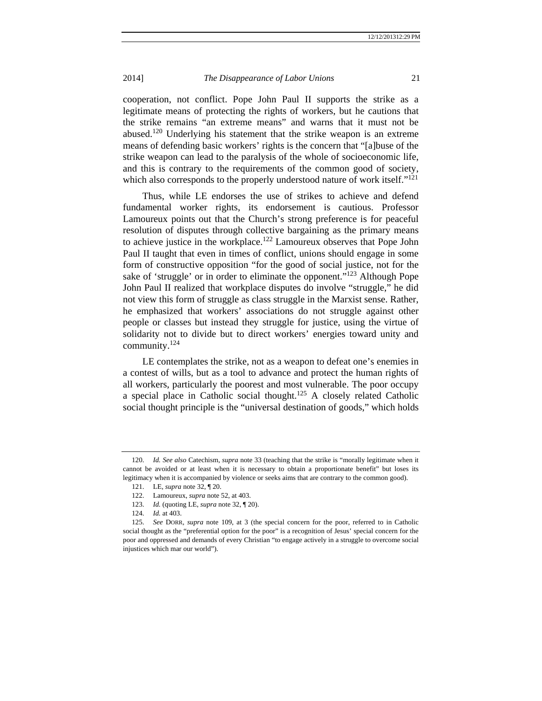cooperation, not conflict. Pope John Paul II supports the strike as a legitimate means of protecting the rights of workers, but he cautions that the strike remains "an extreme means" and warns that it must not be abused.<sup>120</sup> Underlying his statement that the strike weapon is an extreme means of defending basic workers' rights is the concern that "[a]buse of the strike weapon can lead to the paralysis of the whole of socioeconomic life, and this is contrary to the requirements of the common good of society, which also corresponds to the properly understood nature of work itself."<sup>121</sup>

Thus, while LE endorses the use of strikes to achieve and defend fundamental worker rights, its endorsement is cautious. Professor Lamoureux points out that the Church's strong preference is for peaceful resolution of disputes through collective bargaining as the primary means to achieve justice in the workplace.122 Lamoureux observes that Pope John Paul II taught that even in times of conflict, unions should engage in some form of constructive opposition "for the good of social justice, not for the sake of 'struggle' or in order to eliminate the opponent."<sup>123</sup> Although Pope John Paul II realized that workplace disputes do involve "struggle," he did not view this form of struggle as class struggle in the Marxist sense. Rather, he emphasized that workers' associations do not struggle against other people or classes but instead they struggle for justice, using the virtue of solidarity not to divide but to direct workers' energies toward unity and community.124

LE contemplates the strike, not as a weapon to defeat one's enemies in a contest of wills, but as a tool to advance and protect the human rights of all workers, particularly the poorest and most vulnerable. The poor occupy a special place in Catholic social thought.<sup>125</sup> A closely related Catholic social thought principle is the "universal destination of goods," which holds

 <sup>120.</sup> *Id. See also* Catechism, *supra* note 33 (teaching that the strike is "morally legitimate when it cannot be avoided or at least when it is necessary to obtain a proportionate benefit" but loses its legitimacy when it is accompanied by violence or seeks aims that are contrary to the common good).

 <sup>121.</sup> LE, *supra* note 32, ¶ 20.

 <sup>122.</sup> Lamoureux, *supra* note 52, at 403.

 <sup>123.</sup> *Id.* (quoting LE, *supra* note 32, ¶ 20).

 <sup>124.</sup> *Id.* at 403.

 <sup>125.</sup> *See* DORR, *supra* note 109, at 3 (the special concern for the poor, referred to in Catholic social thought as the "preferential option for the poor" is a recognition of Jesus' special concern for the poor and oppressed and demands of every Christian "to engage actively in a struggle to overcome social injustices which mar our world").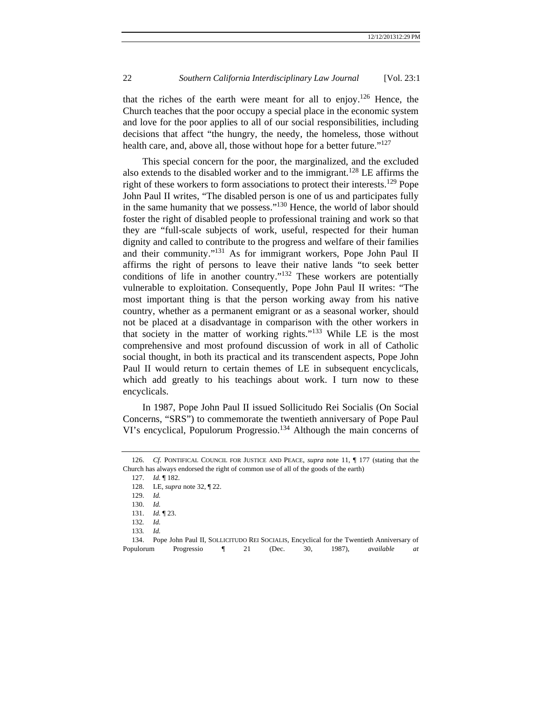that the riches of the earth were meant for all to enjoy.<sup>126</sup> Hence, the Church teaches that the poor occupy a special place in the economic system and love for the poor applies to all of our social responsibilities, including decisions that affect "the hungry, the needy, the homeless, those without health care, and, above all, those without hope for a better future."<sup>127</sup>

This special concern for the poor, the marginalized, and the excluded also extends to the disabled worker and to the immigrant.128 LE affirms the right of these workers to form associations to protect their interests.<sup>129</sup> Pope John Paul II writes, "The disabled person is one of us and participates fully in the same humanity that we possess."130 Hence, the world of labor should foster the right of disabled people to professional training and work so that they are "full-scale subjects of work, useful, respected for their human dignity and called to contribute to the progress and welfare of their families and their community."131 As for immigrant workers, Pope John Paul II affirms the right of persons to leave their native lands "to seek better conditions of life in another country."132 These workers are potentially vulnerable to exploitation. Consequently, Pope John Paul II writes: "The most important thing is that the person working away from his native country, whether as a permanent emigrant or as a seasonal worker, should not be placed at a disadvantage in comparison with the other workers in that society in the matter of working rights."<sup>133</sup> While LE is the most comprehensive and most profound discussion of work in all of Catholic social thought, in both its practical and its transcendent aspects, Pope John Paul II would return to certain themes of LE in subsequent encyclicals, which add greatly to his teachings about work. I turn now to these encyclicals.

In 1987, Pope John Paul II issued Sollicitudo Rei Socialis (On Social Concerns, "SRS") to commemorate the twentieth anniversary of Pope Paul VI's encyclical, Populorum Progressio.<sup>134</sup> Although the main concerns of

127. *Id.* ¶ 182.

 <sup>126.</sup> *Cf.* PONTIFICAL COUNCIL FOR JUSTICE AND PEACE, *supra* note 11, ¶ 177 (stating that the Church has always endorsed the right of common use of all of the goods of the earth)

 <sup>128.</sup> LE, *supra* note 32, ¶ 22.

 <sup>129.</sup> *Id.*

 <sup>130.</sup> *Id.*

 <sup>131.</sup> *Id.* ¶ 23.

<sup>132</sup>*. Id.*

<sup>133</sup>*. Id.*

 <sup>134.</sup> Pope John Paul II, SOLLICITUDO REI SOCIALIS, Encyclical for the Twentieth Anniversary of Populorum Progressio ¶ 21 (Dec. 30, 1987), *available at*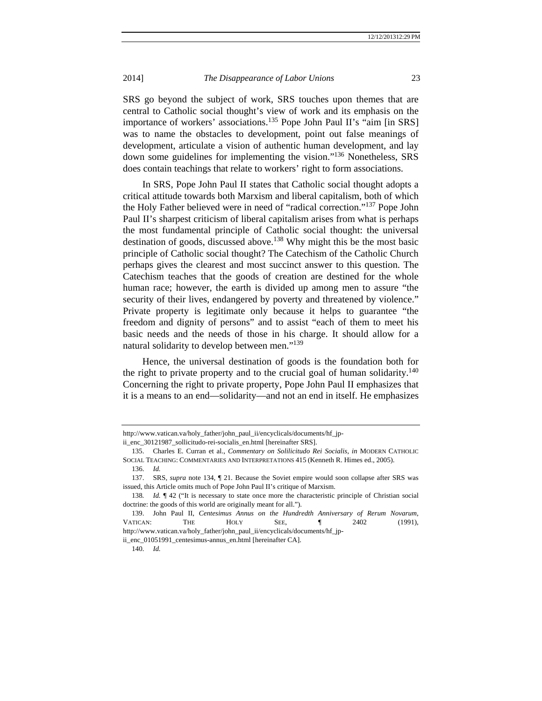SRS go beyond the subject of work, SRS touches upon themes that are central to Catholic social thought's view of work and its emphasis on the importance of workers' associations.135 Pope John Paul II's "aim [in SRS] was to name the obstacles to development, point out false meanings of development, articulate a vision of authentic human development, and lay down some guidelines for implementing the vision."136 Nonetheless, SRS does contain teachings that relate to workers' right to form associations.

In SRS, Pope John Paul II states that Catholic social thought adopts a critical attitude towards both Marxism and liberal capitalism, both of which the Holy Father believed were in need of "radical correction."137 Pope John Paul II's sharpest criticism of liberal capitalism arises from what is perhaps the most fundamental principle of Catholic social thought: the universal destination of goods, discussed above.<sup>138</sup> Why might this be the most basic principle of Catholic social thought? The Catechism of the Catholic Church perhaps gives the clearest and most succinct answer to this question. The Catechism teaches that the goods of creation are destined for the whole human race; however, the earth is divided up among men to assure "the security of their lives, endangered by poverty and threatened by violence." Private property is legitimate only because it helps to guarantee "the freedom and dignity of persons" and to assist "each of them to meet his basic needs and the needs of those in his charge. It should allow for a natural solidarity to develop between men."<sup>139</sup>

Hence, the universal destination of goods is the foundation both for the right to private property and to the crucial goal of human solidarity.<sup>140</sup> Concerning the right to private property, Pope John Paul II emphasizes that it is a means to an end—solidarity—and not an end in itself. He emphasizes

http://www.vatican.va/holy\_father/john\_paul\_ii/encyclicals/documents/hf\_jp-

ii\_enc\_30121987\_sollicitudo-rei-socialis\_en.html [hereinafter SRS].

 <sup>135.</sup> Charles E. Curran et al., *Commentary on Solilicitudo Rei Socialis*, *in* MODERN CATHOLIC SOCIAL TEACHING: COMMENTARIES AND INTERPRETATIONS 415 (Kenneth R. Himes ed., 2005).

 <sup>136.</sup> *Id.*

 <sup>137.</sup> SRS, *supra* note 134, ¶ 21. Because the Soviet empire would soon collapse after SRS was issued, this Article omits much of Pope John Paul II's critique of Marxism.

<sup>138.</sup> *Id.*  $\oint$  42 ("It is necessary to state once more the characteristic principle of Christian social doctrine: the goods of this world are originally meant for all.").

 <sup>139.</sup> John Paul II, *Centesimus Annus on the Hundredth Anniversary of Rerum Novarum*, VATICAN: THE HOLY SEE, ¶ 2402 (1991), http://www.vatican.va/holy\_father/john\_paul\_ii/encyclicals/documents/hf\_jp-

ii\_enc\_01051991\_centesimus-annus\_en.html [hereinafter CA].

 <sup>140.</sup> *Id.*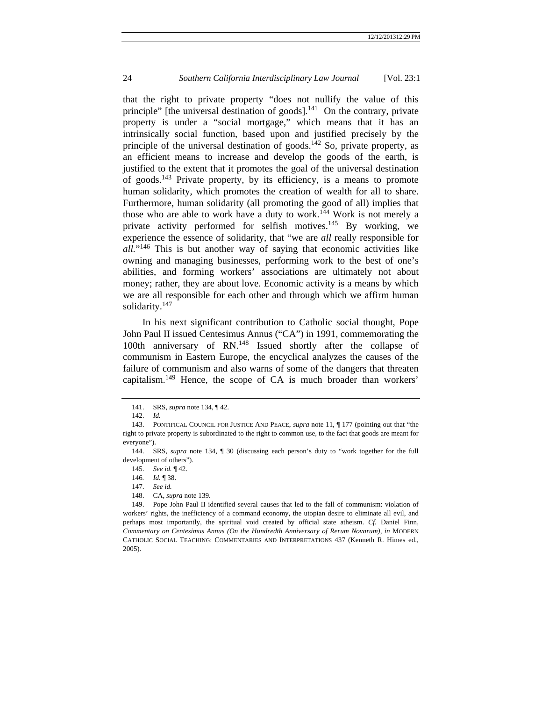that the right to private property "does not nullify the value of this principle" [the universal destination of goods].<sup>141</sup> On the contrary, private property is under a "social mortgage," which means that it has an intrinsically social function, based upon and justified precisely by the principle of the universal destination of goods.<sup>142</sup> So, private property, as an efficient means to increase and develop the goods of the earth, is justified to the extent that it promotes the goal of the universal destination of goods.143 Private property, by its efficiency, is a means to promote human solidarity, which promotes the creation of wealth for all to share. Furthermore, human solidarity (all promoting the good of all) implies that those who are able to work have a duty to work.<sup>144</sup> Work is not merely a private activity performed for selfish motives.145 By working, we experience the essence of solidarity, that "we are *all* really responsible for *all.*"146 This is but another way of saying that economic activities like owning and managing businesses, performing work to the best of one's abilities, and forming workers' associations are ultimately not about money; rather, they are about love. Economic activity is a means by which we are all responsible for each other and through which we affirm human solidarity.<sup>147</sup>

In his next significant contribution to Catholic social thought, Pope John Paul II issued Centesimus Annus ("CA") in 1991, commemorating the 100th anniversary of RN.148 Issued shortly after the collapse of communism in Eastern Europe, the encyclical analyzes the causes of the failure of communism and also warns of some of the dangers that threaten capitalism.149 Hence, the scope of CA is much broader than workers'

148. CA, *supra* note 139.

 <sup>141.</sup> SRS, *supra* note 134, ¶ 42.

 <sup>142.</sup> *Id.* 

 <sup>143.</sup> PONTIFICAL COUNCIL FOR JUSTICE AND PEACE, *supra* note 11, ¶ 177 (pointing out that "the right to private property is subordinated to the right to common use, to the fact that goods are meant for everyone").

 <sup>144.</sup> SRS, *supra* note 134, ¶ 30 (discussing each person's duty to "work together for the full development of others").

 <sup>145.</sup> *See id.* ¶ 42.

<sup>146</sup>*. Id.* ¶ 38.

 <sup>147.</sup> *See id.*

 <sup>149.</sup> Pope John Paul II identified several causes that led to the fall of communism: violation of workers' rights, the inefficiency of a command economy, the utopian desire to eliminate all evil, and perhaps most importantly, the spiritual void created by official state atheism. *Cf.* Daniel Finn, *Commentary on Centesimus Annus (On the Hundredth Anniversary of Rerum Novarum)*, *in* MODERN CATHOLIC SOCIAL TEACHING: COMMENTARIES AND INTERPRETATIONS 437 (Kenneth R. Himes ed., 2005).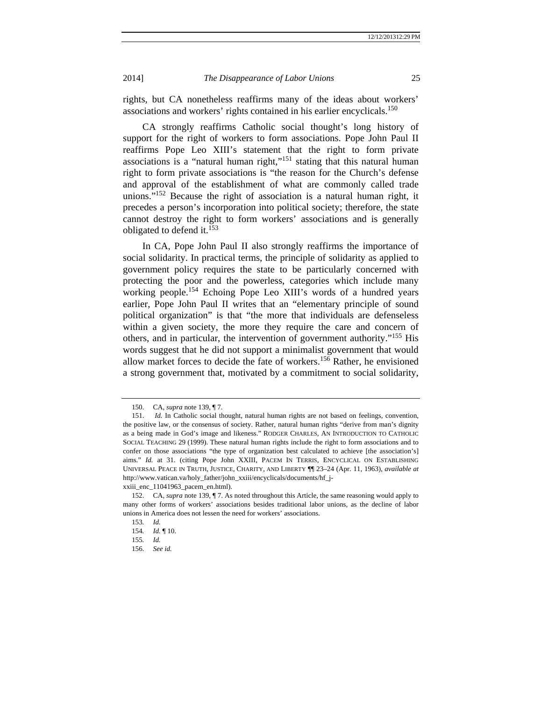rights, but CA nonetheless reaffirms many of the ideas about workers' associations and workers' rights contained in his earlier encyclicals.150

CA strongly reaffirms Catholic social thought's long history of support for the right of workers to form associations. Pope John Paul II reaffirms Pope Leo XIII's statement that the right to form private associations is a "natural human right,"<sup>151</sup> stating that this natural human right to form private associations is "the reason for the Church's defense and approval of the establishment of what are commonly called trade unions." $152$  Because the right of association is a natural human right, it precedes a person's incorporation into political society; therefore, the state cannot destroy the right to form workers' associations and is generally obligated to defend it. $153$ 

In CA, Pope John Paul II also strongly reaffirms the importance of social solidarity. In practical terms, the principle of solidarity as applied to government policy requires the state to be particularly concerned with protecting the poor and the powerless, categories which include many working people.154 Echoing Pope Leo XIII's words of a hundred years earlier, Pope John Paul II writes that an "elementary principle of sound political organization" is that "the more that individuals are defenseless within a given society, the more they require the care and concern of others, and in particular, the intervention of government authority."155 His words suggest that he did not support a minimalist government that would allow market forces to decide the fate of workers.<sup>156</sup> Rather, he envisioned a strong government that, motivated by a commitment to social solidarity,

 <sup>150.</sup> CA, *supra* note 139, ¶ 7.

 <sup>151.</sup> *Id.* In Catholic social thought, natural human rights are not based on feelings, convention, the positive law, or the consensus of society. Rather, natural human rights "derive from man's dignity as a being made in God's image and likeness." RODGER CHARLES, AN INTRODUCTION TO CATHOLIC SOCIAL TEACHING 29 (1999). These natural human rights include the right to form associations and to confer on those associations "the type of organization best calculated to achieve [the association's] aims." *Id.* at 31. (citing Pope John XXIII, PACEM IN TERRIS, ENCYCLICAL ON ESTABLISHING UNIVERSAL PEACE IN TRUTH, JUSTICE, CHARITY, AND LIBERTY ¶¶ 23–24 (Apr. 11, 1963), *available at*  http://www.vatican.va/holy\_father/john\_xxiii/encyclicals/documents/hf\_j-

xxiii\_enc\_11041963\_pacem\_en.html).

 <sup>152.</sup> CA, *supra* note 139, ¶ 7. As noted throughout this Article, the same reasoning would apply to many other forms of workers' associations besides traditional labor unions, as the decline of labor unions in America does not lessen the need for workers' associations.

<sup>153</sup>*. Id.*

<sup>154</sup>*. Id.* ¶ 10.

<sup>155</sup>*. Id.*

 <sup>156.</sup> *See id.*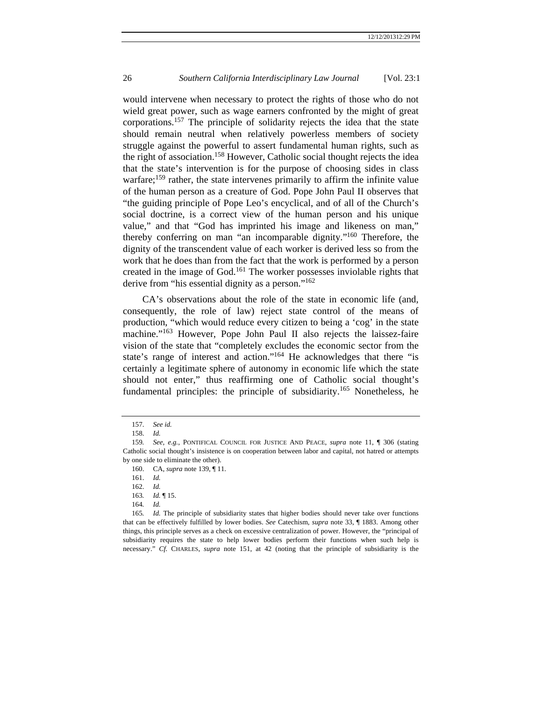would intervene when necessary to protect the rights of those who do not wield great power, such as wage earners confronted by the might of great corporations.157 The principle of solidarity rejects the idea that the state should remain neutral when relatively powerless members of society struggle against the powerful to assert fundamental human rights, such as the right of association.158 However, Catholic social thought rejects the idea that the state's intervention is for the purpose of choosing sides in class warfare;<sup>159</sup> rather, the state intervenes primarily to affirm the infinite value of the human person as a creature of God. Pope John Paul II observes that "the guiding principle of Pope Leo's encyclical, and of all of the Church's social doctrine, is a correct view of the human person and his unique value," and that "God has imprinted his image and likeness on man," thereby conferring on man "an incomparable dignity."160 Therefore, the dignity of the transcendent value of each worker is derived less so from the work that he does than from the fact that the work is performed by a person created in the image of God.<sup>161</sup> The worker possesses inviolable rights that derive from "his essential dignity as a person."162

CA's observations about the role of the state in economic life (and, consequently, the role of law) reject state control of the means of production, "which would reduce every citizen to being a 'cog' in the state machine."<sup>163</sup> However, Pope John Paul II also rejects the laissez-faire vision of the state that "completely excludes the economic sector from the state's range of interest and action."164 He acknowledges that there "is certainly a legitimate sphere of autonomy in economic life which the state should not enter," thus reaffirming one of Catholic social thought's fundamental principles: the principle of subsidiarity.<sup>165</sup> Nonetheless, he

 <sup>157.</sup> *See id.*

 <sup>158.</sup> *Id.* 

<sup>159</sup>*. See, e.g.*, PONTIFICAL COUNCIL FOR JUSTICE AND PEACE, *supra* note 11, ¶ 306 (stating Catholic social thought's insistence is on cooperation between labor and capital, not hatred or attempts by one side to eliminate the other).

 <sup>160.</sup> CA, *supra* note 139, ¶ 11.

 <sup>161.</sup> *Id.*

 <sup>162.</sup> *Id.*

<sup>163</sup>*. Id.* ¶ 15.

<sup>164</sup>*. Id.*

<sup>165</sup>*. Id.* The principle of subsidiarity states that higher bodies should never take over functions that can be effectively fulfilled by lower bodies. *See* Catechism, *supra* note 33, ¶ 1883. Among other things, this principle serves as a check on excessive centralization of power. However, the "principal of subsidiarity requires the state to help lower bodies perform their functions when such help is necessary." *Cf.* CHARLES, *supra* note 151, at 42 (noting that the principle of subsidiarity is the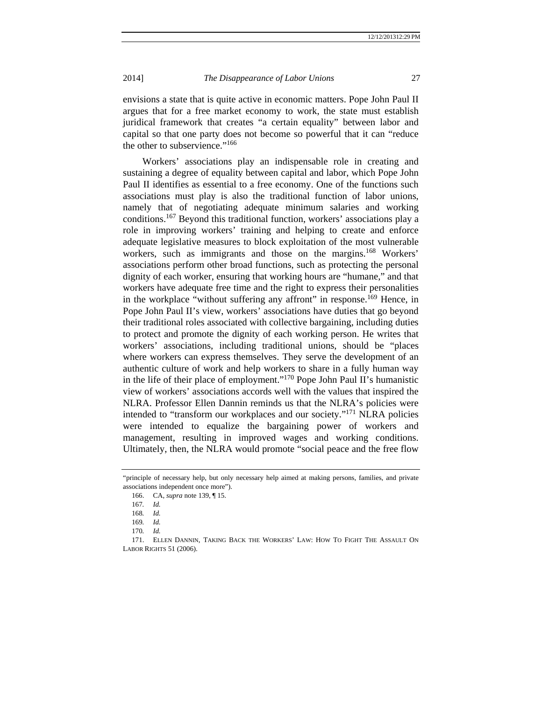envisions a state that is quite active in economic matters. Pope John Paul II argues that for a free market economy to work, the state must establish juridical framework that creates "a certain equality" between labor and capital so that one party does not become so powerful that it can "reduce the other to subservience."<sup>166</sup>

Workers' associations play an indispensable role in creating and sustaining a degree of equality between capital and labor, which Pope John Paul II identifies as essential to a free economy. One of the functions such associations must play is also the traditional function of labor unions, namely that of negotiating adequate minimum salaries and working conditions.167 Beyond this traditional function, workers' associations play a role in improving workers' training and helping to create and enforce adequate legislative measures to block exploitation of the most vulnerable workers, such as immigrants and those on the margins.<sup>168</sup> Workers' associations perform other broad functions, such as protecting the personal dignity of each worker, ensuring that working hours are "humane," and that workers have adequate free time and the right to express their personalities in the workplace "without suffering any affront" in response.<sup>169</sup> Hence, in Pope John Paul II's view, workers' associations have duties that go beyond their traditional roles associated with collective bargaining, including duties to protect and promote the dignity of each working person. He writes that workers' associations, including traditional unions, should be "places where workers can express themselves. They serve the development of an authentic culture of work and help workers to share in a fully human way in the life of their place of employment."170 Pope John Paul II's humanistic view of workers' associations accords well with the values that inspired the NLRA. Professor Ellen Dannin reminds us that the NLRA's policies were intended to "transform our workplaces and our society."171 NLRA policies were intended to equalize the bargaining power of workers and management, resulting in improved wages and working conditions. Ultimately, then, the NLRA would promote "social peace and the free flow

 171. ELLEN DANNIN, TAKING BACK THE WORKERS' LAW: HOW TO FIGHT THE ASSAULT ON LABOR RIGHTS 51 (2006).

<sup>&</sup>quot;principle of necessary help, but only necessary help aimed at making persons, families, and private associations independent once more").

 <sup>166.</sup> CA, *supra* note 139, ¶ 15.

<sup>167</sup>*. Id.*

<sup>168</sup>*. Id.*

<sup>169</sup>*. Id.*

<sup>170</sup>*. Id.*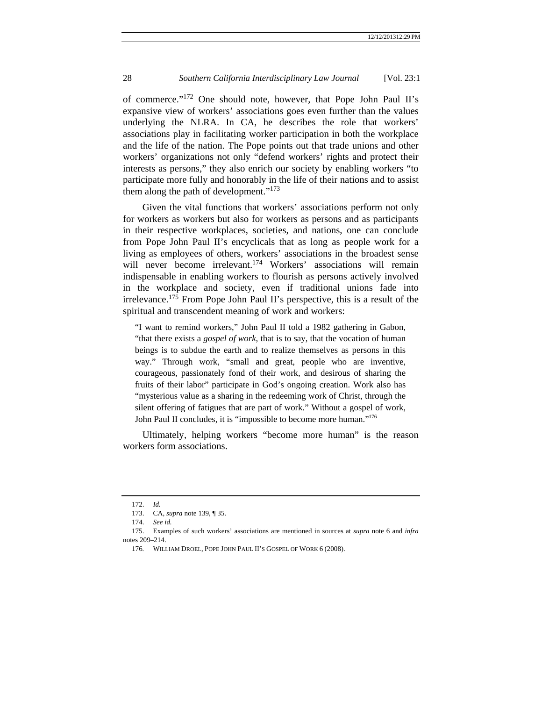of commerce."172 One should note, however, that Pope John Paul II's expansive view of workers' associations goes even further than the values underlying the NLRA. In CA, he describes the role that workers' associations play in facilitating worker participation in both the workplace and the life of the nation. The Pope points out that trade unions and other workers' organizations not only "defend workers' rights and protect their interests as persons," they also enrich our society by enabling workers "to participate more fully and honorably in the life of their nations and to assist them along the path of development."<sup>173</sup>

Given the vital functions that workers' associations perform not only for workers as workers but also for workers as persons and as participants in their respective workplaces, societies, and nations, one can conclude from Pope John Paul II's encyclicals that as long as people work for a living as employees of others, workers' associations in the broadest sense will never become irrelevant.<sup>174</sup> Workers' associations will remain indispensable in enabling workers to flourish as persons actively involved in the workplace and society, even if traditional unions fade into irrelevance.175 From Pope John Paul II's perspective, this is a result of the spiritual and transcendent meaning of work and workers:

"I want to remind workers," John Paul II told a 1982 gathering in Gabon, "that there exists a *gospel of work*, that is to say, that the vocation of human beings is to subdue the earth and to realize themselves as persons in this way." Through work, "small and great, people who are inventive, courageous, passionately fond of their work, and desirous of sharing the fruits of their labor" participate in God's ongoing creation. Work also has "mysterious value as a sharing in the redeeming work of Christ, through the silent offering of fatigues that are part of work." Without a gospel of work, John Paul II concludes, it is "impossible to become more human."<sup>176</sup>

Ultimately, helping workers "become more human" is the reason workers form associations.

 <sup>172.</sup> *Id.*

 <sup>173.</sup> CA, *supra* note 139, ¶ 35.

 <sup>174.</sup> *See id.*

 <sup>175.</sup> Examples of such workers' associations are mentioned in sources at *supra* note 6 and *infra* notes 209–214.

<sup>176</sup>*.* WILLIAM DROEL, POPE JOHN PAUL II'S GOSPEL OF WORK 6 (2008).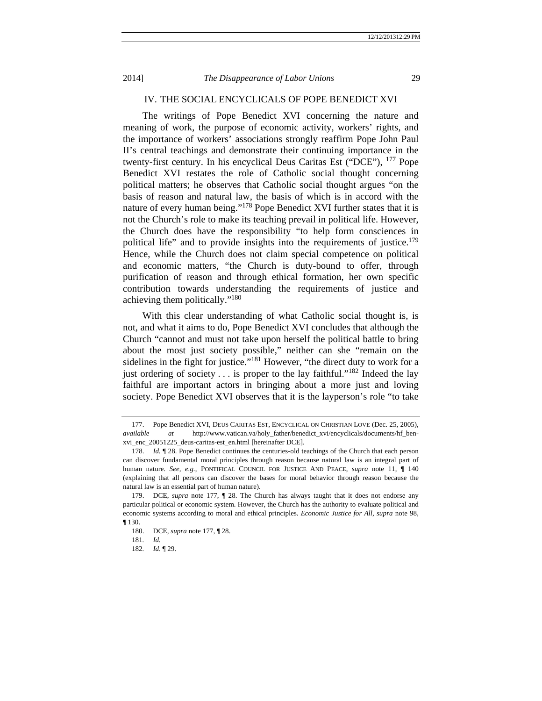# IV. THE SOCIAL ENCYCLICALS OF POPE BENEDICT XVI

The writings of Pope Benedict XVI concerning the nature and meaning of work, the purpose of economic activity, workers' rights, and the importance of workers' associations strongly reaffirm Pope John Paul II's central teachings and demonstrate their continuing importance in the twenty-first century. In his encyclical Deus Caritas Est ("DCE"), 177 Pope Benedict XVI restates the role of Catholic social thought concerning political matters; he observes that Catholic social thought argues "on the basis of reason and natural law, the basis of which is in accord with the nature of every human being."<sup>178</sup> Pope Benedict XVI further states that it is not the Church's role to make its teaching prevail in political life. However, the Church does have the responsibility "to help form consciences in political life" and to provide insights into the requirements of justice.<sup>179</sup> Hence, while the Church does not claim special competence on political and economic matters, "the Church is duty-bound to offer, through purification of reason and through ethical formation, her own specific contribution towards understanding the requirements of justice and achieving them politically."180

With this clear understanding of what Catholic social thought is, is not, and what it aims to do, Pope Benedict XVI concludes that although the Church "cannot and must not take upon herself the political battle to bring about the most just society possible," neither can she "remain on the sidelines in the fight for justice."<sup>181</sup> However, "the direct duty to work for a just ordering of society  $\dots$  is proper to the lay faithful."<sup>182</sup> Indeed the lay faithful are important actors in bringing about a more just and loving society. Pope Benedict XVI observes that it is the layperson's role "to take

 <sup>177.</sup> Pope Benedict XVI, DEUS CARITAS EST, ENCYCLICAL ON CHRISTIAN LOVE (Dec. 25, 2005), *available at* http://www.vatican.va/holy\_father/benedict\_xvi/encyclicals/documents/hf\_benxvi\_enc\_20051225\_deus-caritas-est\_en.html [hereinafter DCE].

 <sup>178.</sup> *Id.* ¶ 28. Pope Benedict continues the centuries-old teachings of the Church that each person can discover fundamental moral principles through reason because natural law is an integral part of human nature. *See, e.g.*, PONTIFICAL COUNCIL FOR JUSTICE AND PEACE, *supra* note 11, ¶ 140 (explaining that all persons can discover the bases for moral behavior through reason because the natural law is an essential part of human nature).

 <sup>179.</sup> DCE, *supra* note 177, ¶ 28. The Church has always taught that it does not endorse any particular political or economic system. However, the Church has the authority to evaluate political and economic systems according to moral and ethical principles. *Economic Justice for All*, *supra* note 98, ¶ 130.

 <sup>180.</sup> DCE, *supra* note 177, ¶ 28.

<sup>181</sup>*. Id.*

<sup>182</sup>*. Id*. ¶ 29.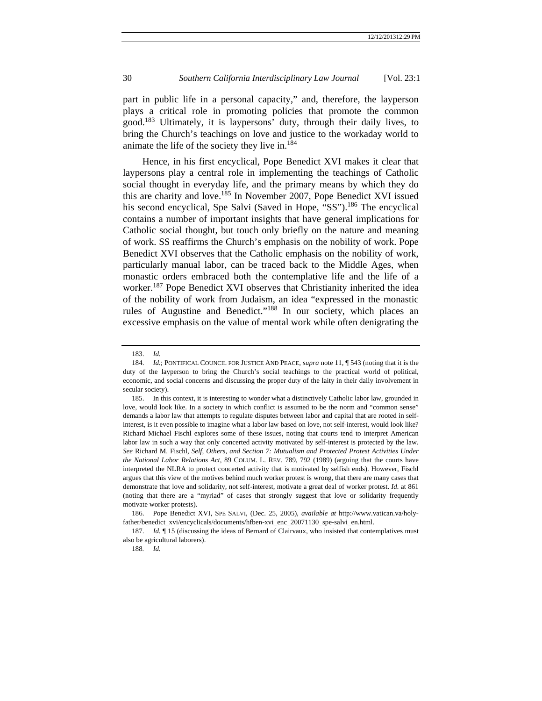part in public life in a personal capacity," and, therefore, the layperson plays a critical role in promoting policies that promote the common good.183 Ultimately, it is laypersons' duty, through their daily lives, to bring the Church's teachings on love and justice to the workaday world to animate the life of the society they live in.<sup>184</sup>

Hence, in his first encyclical, Pope Benedict XVI makes it clear that laypersons play a central role in implementing the teachings of Catholic social thought in everyday life, and the primary means by which they do this are charity and love.185 In November 2007, Pope Benedict XVI issued his second encyclical, Spe Salvi (Saved in Hope, "SS").<sup>186</sup> The encyclical contains a number of important insights that have general implications for Catholic social thought, but touch only briefly on the nature and meaning of work. SS reaffirms the Church's emphasis on the nobility of work. Pope Benedict XVI observes that the Catholic emphasis on the nobility of work, particularly manual labor, can be traced back to the Middle Ages, when monastic orders embraced both the contemplative life and the life of a worker.<sup>187</sup> Pope Benedict XVI observes that Christianity inherited the idea of the nobility of work from Judaism, an idea "expressed in the monastic rules of Augustine and Benedict."<sup>188</sup> In our society, which places an excessive emphasis on the value of mental work while often denigrating the

 <sup>183.</sup> *Id.* 

 <sup>184.</sup> *Id.*; PONTIFICAL COUNCIL FOR JUSTICE AND PEACE, *supra* note 11, ¶ 543 (noting that it is the duty of the layperson to bring the Church's social teachings to the practical world of political, economic, and social concerns and discussing the proper duty of the laity in their daily involvement in secular society).

 <sup>185.</sup> In this context, it is interesting to wonder what a distinctively Catholic labor law, grounded in love, would look like. In a society in which conflict is assumed to be the norm and "common sense" demands a labor law that attempts to regulate disputes between labor and capital that are rooted in selfinterest, is it even possible to imagine what a labor law based on love, not self-interest, would look like? Richard Michael Fischl explores some of these issues, noting that courts tend to interpret American labor law in such a way that only concerted activity motivated by self-interest is protected by the law. *See* Richard M. Fischl, *Self, Others, and Section 7: Mutualism and Protected Protest Activities Under the National Labor Relations Act,* 89 COLUM. L. REV. 789, 792 (1989) (arguing that the courts have interpreted the NLRA to protect concerted activity that is motivated by selfish ends). However, Fischl argues that this view of the motives behind much worker protest is wrong, that there are many cases that demonstrate that love and solidarity, not self-interest, motivate a great deal of worker protest. *Id.* at 861 (noting that there are a "myriad" of cases that strongly suggest that love or solidarity frequently motivate worker protests).

 <sup>186.</sup> Pope Benedict XVI, SPE SALVI, (Dec. 25, 2005), *available at* http://www.vatican.va/holyfather/benedict\_xvi/encyclicals/documents/hfben-xvi\_enc\_20071130\_spe-salvi\_en.html.

<sup>187.</sup> *Id.* If 15 (discussing the ideas of Bernard of Clairvaux, who insisted that contemplatives must also be agricultural laborers).

<sup>188</sup>*. Id.*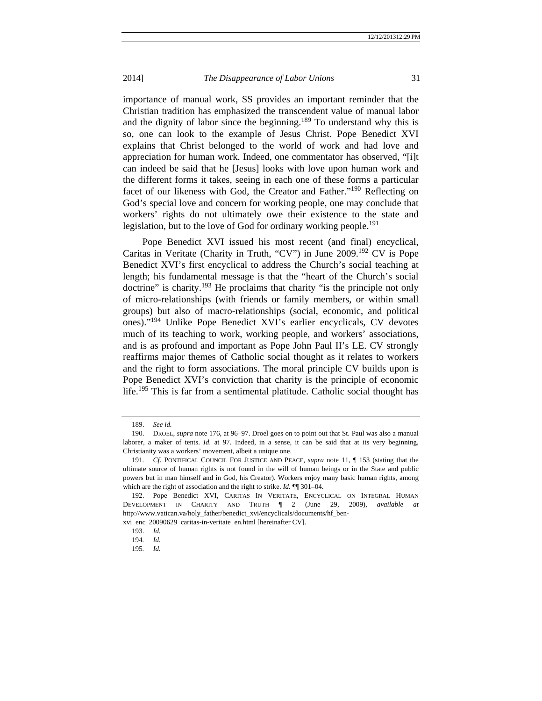importance of manual work, SS provides an important reminder that the Christian tradition has emphasized the transcendent value of manual labor and the dignity of labor since the beginning.<sup>189</sup> To understand why this is so, one can look to the example of Jesus Christ. Pope Benedict XVI explains that Christ belonged to the world of work and had love and appreciation for human work. Indeed, one commentator has observed, "[i]t can indeed be said that he [Jesus] looks with love upon human work and the different forms it takes, seeing in each one of these forms a particular facet of our likeness with God, the Creator and Father."190 Reflecting on God's special love and concern for working people, one may conclude that workers' rights do not ultimately owe their existence to the state and legislation, but to the love of God for ordinary working people.<sup>191</sup>

Pope Benedict XVI issued his most recent (and final) encyclical, Caritas in Veritate (Charity in Truth, "CV") in June 2009.192 CV is Pope Benedict XVI's first encyclical to address the Church's social teaching at length; his fundamental message is that the "heart of the Church's social doctrine" is charity.<sup>193</sup> He proclaims that charity "is the principle not only of micro-relationships (with friends or family members, or within small groups) but also of macro-relationships (social, economic, and political ones)."194 Unlike Pope Benedict XVI's earlier encyclicals, CV devotes much of its teaching to work, working people, and workers' associations, and is as profound and important as Pope John Paul II's LE. CV strongly reaffirms major themes of Catholic social thought as it relates to workers and the right to form associations. The moral principle CV builds upon is Pope Benedict XVI's conviction that charity is the principle of economic life.195 This is far from a sentimental platitude. Catholic social thought has

 <sup>189.</sup> *See id.*

 <sup>190.</sup> DROEL, *supra* note 176, at 96–97. Droel goes on to point out that St. Paul was also a manual laborer, a maker of tents. *Id.* at 97. Indeed, in a sense, it can be said that at its very beginning, Christianity was a workers' movement, albeit a unique one.

<sup>191</sup>*. Cf.* PONTIFICAL COUNCIL FOR JUSTICE AND PEACE, *supra* note 11, ¶ 153 (stating that the ultimate source of human rights is not found in the will of human beings or in the State and public powers but in man himself and in God, his Creator). Workers enjoy many basic human rights, among which are the right of association and the right to strike. *Id.*  $\P$  301–04.

 <sup>192.</sup> Pope Benedict XVI, CARITAS IN VERITATE, ENCYCLICAL ON INTEGRAL HUMAN DEVELOPMENT IN CHARITY AND TRUTH ¶ 2 (June 29, 2009), *available at*  http://www.vatican.va/holy\_father/benedict\_xvi/encyclicals/documents/hf\_ben-

xvi\_enc\_20090629\_caritas-in-veritate\_en.html [hereinafter CV].

 <sup>193.</sup> *Id.*

<sup>194</sup>*. Id.*

<sup>195</sup>*. Id.*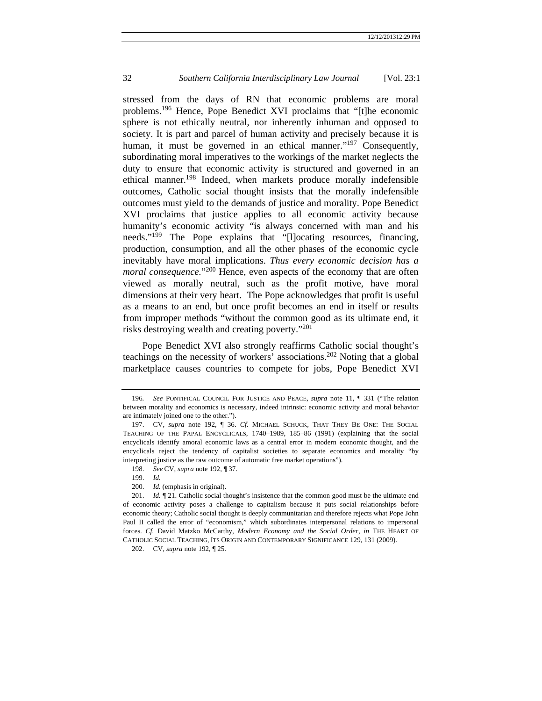stressed from the days of RN that economic problems are moral problems.<sup>196</sup> Hence, Pope Benedict XVI proclaims that "[t]he economic sphere is not ethically neutral, nor inherently inhuman and opposed to society. It is part and parcel of human activity and precisely because it is human, it must be governed in an ethical manner."<sup>197</sup> Consequently, subordinating moral imperatives to the workings of the market neglects the duty to ensure that economic activity is structured and governed in an ethical manner.<sup>198</sup> Indeed, when markets produce morally indefensible outcomes, Catholic social thought insists that the morally indefensible outcomes must yield to the demands of justice and morality. Pope Benedict XVI proclaims that justice applies to all economic activity because humanity's economic activity "is always concerned with man and his needs."<sup>199</sup> The Pope explains that "[l]ocating resources, financing, production, consumption, and all the other phases of the economic cycle inevitably have moral implications. *Thus every economic decision has a moral consequence*."<sup>200</sup> Hence, even aspects of the economy that are often viewed as morally neutral, such as the profit motive, have moral dimensions at their very heart. The Pope acknowledges that profit is useful as a means to an end, but once profit becomes an end in itself or results from improper methods "without the common good as its ultimate end, it risks destroying wealth and creating poverty."201

Pope Benedict XVI also strongly reaffirms Catholic social thought's teachings on the necessity of workers' associations.<sup>202</sup> Noting that a global marketplace causes countries to compete for jobs, Pope Benedict XVI

<sup>196</sup>*. See* PONTIFICAL COUNCIL FOR JUSTICE AND PEACE, *supra* note 11, ¶ 331 ("The relation between morality and economics is necessary, indeed intrinsic: economic activity and moral behavior are intimately joined one to the other.").

 <sup>197.</sup> CV, *supra* note 192, ¶ 36. *Cf.* MICHAEL SCHUCK, THAT THEY BE ONE: THE SOCIAL TEACHING OF THE PAPAL ENCYCLICALS, 1740–1989, 185–86 (1991) (explaining that the social encyclicals identify amoral economic laws as a central error in modern economic thought, and the encyclicals reject the tendency of capitalist societies to separate economics and morality "by interpreting justice as the raw outcome of automatic free market operations").

 <sup>198.</sup> *See* CV, *supra* note 192, ¶ 37.

 <sup>199.</sup> *Id.*

 <sup>200.</sup> *Id.* (emphasis in original).

<sup>201.</sup> *Id.*  $\mathbb{I}$  21. Catholic social thought's insistence that the common good must be the ultimate end of economic activity poses a challenge to capitalism because it puts social relationships before economic theory; Catholic social thought is deeply communitarian and therefore rejects what Pope John Paul II called the error of "economism," which subordinates interpersonal relations to impersonal forces. *Cf.* David Matzko McCarthy, *Modern Economy and the Social Order*, *in* THE HEART OF CATHOLIC SOCIAL TEACHING, ITS ORIGIN AND CONTEMPORARY SIGNIFICANCE 129, 131 (2009).

 <sup>202.</sup> CV, *supra* note 192, ¶ 25.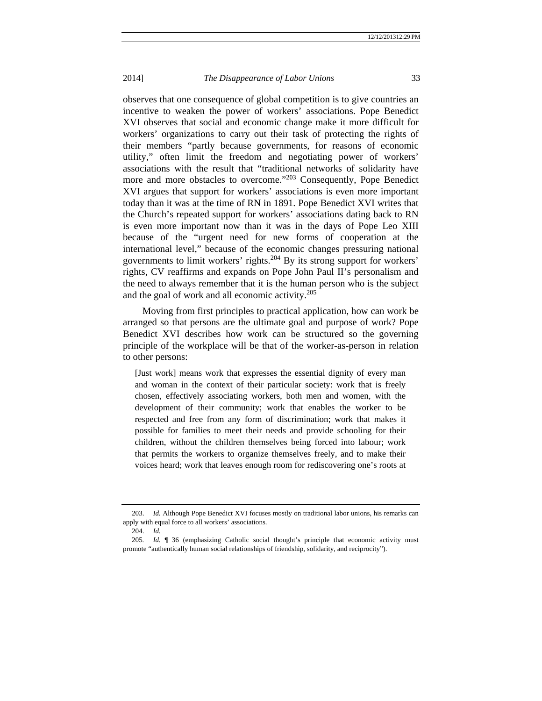observes that one consequence of global competition is to give countries an incentive to weaken the power of workers' associations. Pope Benedict XVI observes that social and economic change make it more difficult for workers' organizations to carry out their task of protecting the rights of their members "partly because governments, for reasons of economic utility," often limit the freedom and negotiating power of workers' associations with the result that "traditional networks of solidarity have more and more obstacles to overcome."<sup>203</sup> Consequently, Pope Benedict XVI argues that support for workers' associations is even more important today than it was at the time of RN in 1891. Pope Benedict XVI writes that the Church's repeated support for workers' associations dating back to RN is even more important now than it was in the days of Pope Leo XIII because of the "urgent need for new forms of cooperation at the international level," because of the economic changes pressuring national governments to limit workers' rights.204 By its strong support for workers' rights, CV reaffirms and expands on Pope John Paul II's personalism and the need to always remember that it is the human person who is the subject and the goal of work and all economic activity.205

Moving from first principles to practical application, how can work be arranged so that persons are the ultimate goal and purpose of work? Pope Benedict XVI describes how work can be structured so the governing principle of the workplace will be that of the worker-as-person in relation to other persons:

[Just work] means work that expresses the essential dignity of every man and woman in the context of their particular society: work that is freely chosen, effectively associating workers, both men and women, with the development of their community; work that enables the worker to be respected and free from any form of discrimination; work that makes it possible for families to meet their needs and provide schooling for their children, without the children themselves being forced into labour; work that permits the workers to organize themselves freely, and to make their voices heard; work that leaves enough room for rediscovering one's roots at

 <sup>203.</sup> *Id.* Although Pope Benedict XVI focuses mostly on traditional labor unions, his remarks can apply with equal force to all workers' associations.

 <sup>204.</sup> *Id.* 

<sup>205</sup>*. Id.* ¶ 36 (emphasizing Catholic social thought's principle that economic activity must promote "authentically human social relationships of friendship, solidarity, and reciprocity").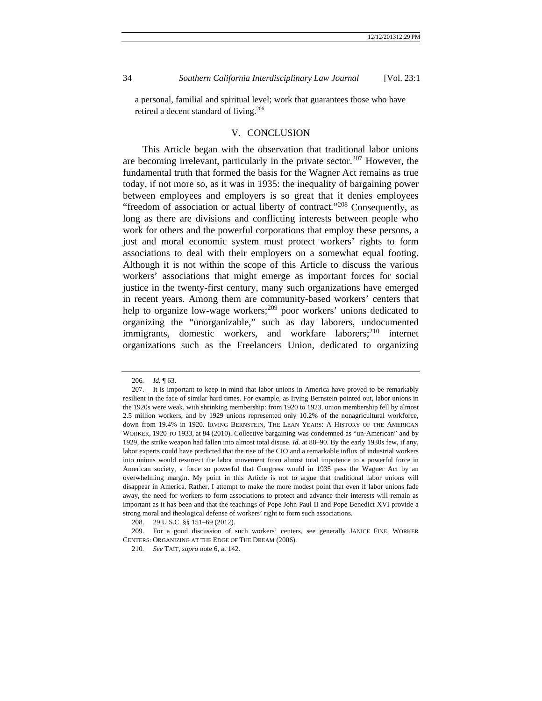a personal, familial and spiritual level; work that guarantees those who have retired a decent standard of living.206

#### V. CONCLUSION

This Article began with the observation that traditional labor unions are becoming irrelevant, particularly in the private sector.<sup>207</sup> However, the fundamental truth that formed the basis for the Wagner Act remains as true today, if not more so, as it was in 1935: the inequality of bargaining power between employees and employers is so great that it denies employees "freedom of association or actual liberty of contract*.*"208 Consequently, as long as there are divisions and conflicting interests between people who work for others and the powerful corporations that employ these persons, a just and moral economic system must protect workers' rights to form associations to deal with their employers on a somewhat equal footing. Although it is not within the scope of this Article to discuss the various workers' associations that might emerge as important forces for social justice in the twenty-first century, many such organizations have emerged in recent years. Among them are community-based workers' centers that help to organize low-wage workers;<sup>209</sup> poor workers' unions dedicated to organizing the "unorganizable," such as day laborers, undocumented immigrants, domestic workers, and workfare laborers;  $2^{10}$  internet organizations such as the Freelancers Union, dedicated to organizing

<sup>206</sup>*. Id.* ¶ 63.

 <sup>207.</sup> It is important to keep in mind that labor unions in America have proved to be remarkably resilient in the face of similar hard times. For example, as Irving Bernstein pointed out, labor unions in the 1920s were weak, with shrinking membership: from 1920 to 1923, union membership fell by almost 2.5 million workers, and by 1929 unions represented only 10.2% of the nonagricultural workforce, down from 19.4% in 1920. IRVING BERNSTEIN, THE LEAN YEARS: A HISTORY OF THE AMERICAN WORKER, 1920 TO 1933, at 84 (2010). Collective bargaining was condemned as "un-American" and by 1929, the strike weapon had fallen into almost total disuse. *Id.* at 88–90. By the early 1930s few, if any, labor experts could have predicted that the rise of the CIO and a remarkable influx of industrial workers into unions would resurrect the labor movement from almost total impotence to a powerful force in American society, a force so powerful that Congress would in 1935 pass the Wagner Act by an overwhelming margin. My point in this Article is not to argue that traditional labor unions will disappear in America. Rather, I attempt to make the more modest point that even if labor unions fade away, the need for workers to form associations to protect and advance their interests will remain as important as it has been and that the teachings of Pope John Paul II and Pope Benedict XVI provide a strong moral and theological defense of workers' right to form such associations.

 <sup>208. 29</sup> U.S.C. §§ 151–69 (2012).

 <sup>209.</sup> For a good discussion of such workers' centers, see generally JANICE FINE, WORKER CENTERS: ORGANIZING AT THE EDGE OF THE DREAM (2006).

<sup>210</sup>*. See* TAIT, *supra* note 6, at 142.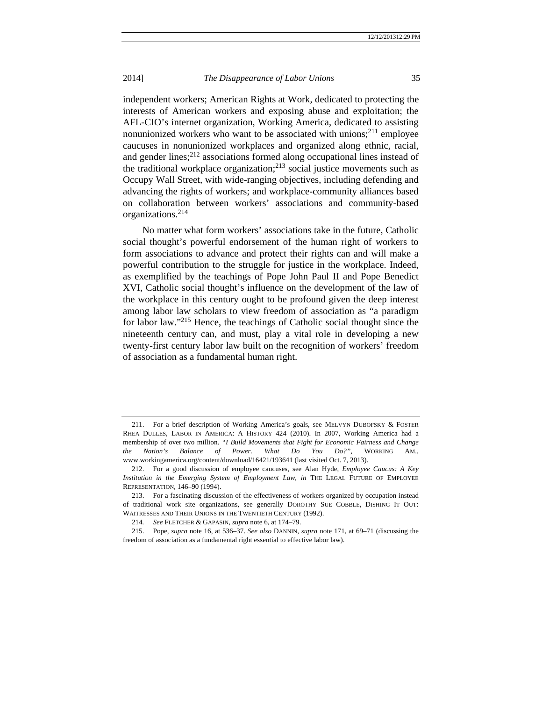independent workers; American Rights at Work, dedicated to protecting the interests of American workers and exposing abuse and exploitation; the AFL-CIO's internet organization, Working America, dedicated to assisting nonunionized workers who want to be associated with unions;<sup>211</sup> employee caucuses in nonunionized workplaces and organized along ethnic, racial, and gender lines;<sup>212</sup> associations formed along occupational lines instead of the traditional workplace organization;<sup>213</sup> social justice movements such as Occupy Wall Street, with wide-ranging objectives, including defending and advancing the rights of workers; and workplace-community alliances based on collaboration between workers' associations and community-based organizations.<sup>214</sup>

No matter what form workers' associations take in the future, Catholic social thought's powerful endorsement of the human right of workers to form associations to advance and protect their rights can and will make a powerful contribution to the struggle for justice in the workplace. Indeed, as exemplified by the teachings of Pope John Paul II and Pope Benedict XVI, Catholic social thought's influence on the development of the law of the workplace in this century ought to be profound given the deep interest among labor law scholars to view freedom of association as "a paradigm for labor law."215 Hence, the teachings of Catholic social thought since the nineteenth century can, and must, play a vital role in developing a new twenty-first century labor law built on the recognition of workers' freedom of association as a fundamental human right.

 <sup>211.</sup> For a brief description of Working America's goals, see MELVYN DUBOFSKY & FOSTER RHEA DULLES, LABOR IN AMERICA: A HISTORY 424 (2010). In 2007, Working America had a membership of over two million. *"I Build Movements that Fight for Economic Fairness and Change the Nation's Balance of Power. What Do You Do?"*, WORKING AM., www.workingamerica.org/content/download/16421/193641 (last visited Oct. 7, 2013).

 <sup>212.</sup> For a good discussion of employee caucuses, see Alan Hyde, *Employee Caucus: A Key Institution in the Emerging System of Employment Law*, *in* THE LEGAL FUTURE OF EMPLOYEE REPRESENTATION, 146–90 (1994).

 <sup>213.</sup> For a fascinating discussion of the effectiveness of workers organized by occupation instead of traditional work site organizations, see generally DOROTHY SUE COBBLE, DISHING IT OUT: WAITRESSES AND THEIR UNIONS IN THE TWENTIETH CENTURY (1992).

<sup>214</sup>*. See* FLETCHER & GAPASIN, *supra* note 6, at 174–79.

 <sup>215.</sup> Pope, *supra* note 16, at 536–37. *See also* DANNIN, *supra* note 171, at 69–71 (discussing the freedom of association as a fundamental right essential to effective labor law).